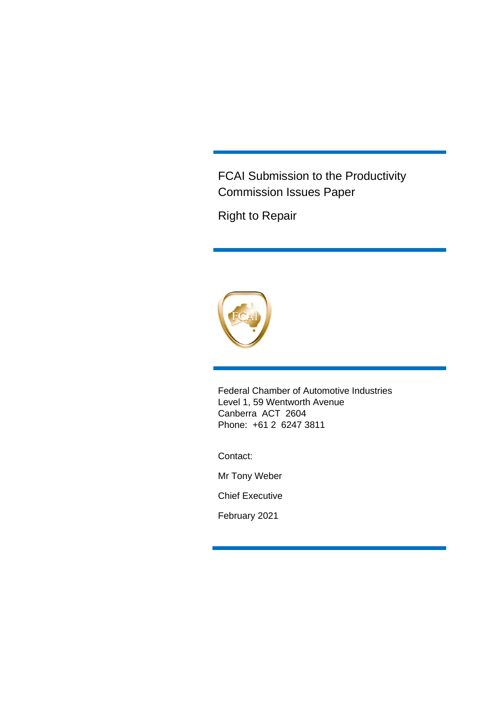FCAI Submission to the Productivity Commission Issues Paper

Right to Repair



Federal Chamber of Automotive Industries Level 1, 59 Wentworth Avenue Canberra ACT 2604 Phone: +61 2 6247 3811

Contact:

Mr Tony Weber

Chief Executive

February 2021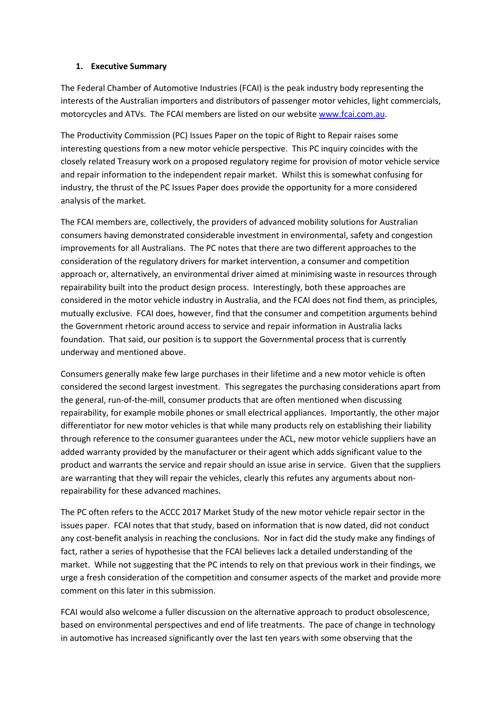#### **1. Executive Summary**

The Federal Chamber of Automotive Industries (FCAI) is the peak industry body representing the interests of the Australian importers and distributors of passenger motor vehicles, light commercials, motorcycles and ATVs. The FCAI members are listed on our website [www.fcai.com.au.](http://www.fcai.com.au/)

The Productivity Commission (PC) Issues Paper on the topic of Right to Repair raises some interesting questions from a new motor vehicle perspective. This PC inquiry coincides with the closely related Treasury work on a proposed regulatory regime for provision of motor vehicle service and repair information to the independent repair market. Whilst this is somewhat confusing for industry, the thrust of the PC Issues Paper does provide the opportunity for a more considered analysis of the market.

The FCAI members are, collectively, the providers of advanced mobility solutions for Australian consumers having demonstrated considerable investment in environmental, safety and congestion improvements for all Australians. The PC notes that there are two different approaches to the consideration of the regulatory drivers for market intervention, a consumer and competition approach or, alternatively, an environmental driver aimed at minimising waste in resources through repairability built into the product design process. Interestingly, both these approaches are considered in the motor vehicle industry in Australia, and the FCAI does not find them, as principles, mutually exclusive. FCAI does, however, find that the consumer and competition arguments behind the Government rhetoric around access to service and repair information in Australia lacks foundation. That said, our position is to support the Governmental process that is currently underway and mentioned above.

Consumers generally make few large purchases in their lifetime and a new motor vehicle is often considered the second largest investment. This segregates the purchasing considerations apart from the general, run-of-the-mill, consumer products that are often mentioned when discussing repairability, for example mobile phones or small electrical appliances. Importantly, the other major differentiator for new motor vehicles is that while many products rely on establishing their liability through reference to the consumer guarantees under the ACL, new motor vehicle suppliers have an added warranty provided by the manufacturer or their agent which adds significant value to the product and warrants the service and repair should an issue arise in service. Given that the suppliers are warranting that they will repair the vehicles, clearly this refutes any arguments about nonrepairability for these advanced machines.

The PC often refers to the ACCC 2017 Market Study of the new motor vehicle repair sector in the issues paper. FCAI notes that that study, based on information that is now dated, did not conduct any cost-benefit analysis in reaching the conclusions. Nor in fact did the study make any findings of fact, rather a series of hypothesise that the FCAI believes lack a detailed understanding of the market. While not suggesting that the PC intends to rely on that previous work in their findings, we urge a fresh consideration of the competition and consumer aspects of the market and provide more comment on this later in this submission.

FCAI would also welcome a fuller discussion on the alternative approach to product obsolescence, based on environmental perspectives and end of life treatments. The pace of change in technology in automotive has increased significantly over the last ten years with some observing that the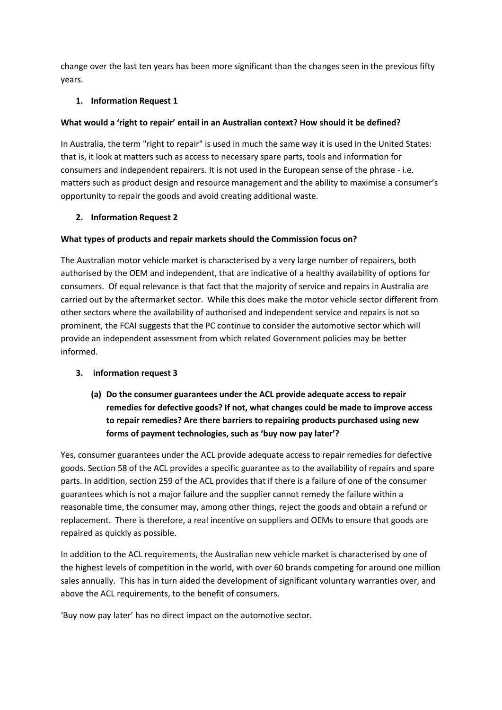change over the last ten years has been more significant than the changes seen in the previous fifty years.

#### **1. Information Request 1**

#### **What would a 'right to repair' entail in an Australian context? How should it be defined?**

In Australia, the term "right to repair" is used in much the same way it is used in the United States: that is, it look at matters such as access to necessary spare parts, tools and information for consumers and independent repairers. It is not used in the European sense of the phrase - i.e. matters such as product design and resource management and the ability to maximise a consumer's opportunity to repair the goods and avoid creating additional waste.

#### **2. Information Request 2**

#### **What types of products and repair markets should the Commission focus on?**

The Australian motor vehicle market is characterised by a very large number of repairers, both authorised by the OEM and independent, that are indicative of a healthy availability of options for consumers. Of equal relevance is that fact that the majority of service and repairs in Australia are carried out by the aftermarket sector. While this does make the motor vehicle sector different from other sectors where the availability of authorised and independent service and repairs is not so prominent, the FCAI suggests that the PC continue to consider the automotive sector which will provide an independent assessment from which related Government policies may be better informed.

#### **3. information request 3**

### **(a) Do the consumer guarantees under the ACL provide adequate access to repair remedies for defective goods? If not, what changes could be made to improve access to repair remedies? Are there barriers to repairing products purchased using new forms of payment technologies, such as 'buy now pay later'?**

Yes, consumer guarantees under the ACL provide adequate access to repair remedies for defective goods. Section 58 of the ACL provides a specific guarantee as to the availability of repairs and spare parts. In addition, section 259 of the ACL provides that if there is a failure of one of the consumer guarantees which is not a major failure and the supplier cannot remedy the failure within a reasonable time, the consumer may, among other things, reject the goods and obtain a refund or replacement. There is therefore, a real incentive on suppliers and OEMs to ensure that goods are repaired as quickly as possible.

In addition to the ACL requirements, the Australian new vehicle market is characterised by one of the highest levels of competition in the world, with over 60 brands competing for around one million sales annually. This has in turn aided the development of significant voluntary warranties over, and above the ACL requirements, to the benefit of consumers.

'Buy now pay later' has no direct impact on the automotive sector.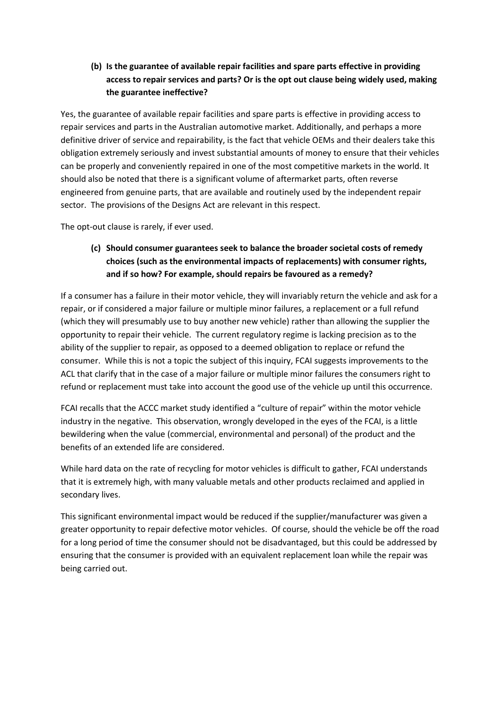**(b) Is the guarantee of available repair facilities and spare parts effective in providing access to repair services and parts? Or is the opt out clause being widely used, making the guarantee ineffective?**

Yes, the guarantee of available repair facilities and spare parts is effective in providing access to repair services and parts in the Australian automotive market. Additionally, and perhaps a more definitive driver of service and repairability, is the fact that vehicle OEMs and their dealers take this obligation extremely seriously and invest substantial amounts of money to ensure that their vehicles can be properly and conveniently repaired in one of the most competitive markets in the world. It should also be noted that there is a significant volume of aftermarket parts, often reverse engineered from genuine parts, that are available and routinely used by the independent repair sector. The provisions of the Designs Act are relevant in this respect.

The opt-out clause is rarely, if ever used.

#### **(c) Should consumer guarantees seek to balance the broader societal costs of remedy choices (such as the environmental impacts of replacements) with consumer rights, and if so how? For example, should repairs be favoured as a remedy?**

If a consumer has a failure in their motor vehicle, they will invariably return the vehicle and ask for a repair, or if considered a major failure or multiple minor failures, a replacement or a full refund (which they will presumably use to buy another new vehicle) rather than allowing the supplier the opportunity to repair their vehicle. The current regulatory regime is lacking precision as to the ability of the supplier to repair, as opposed to a deemed obligation to replace or refund the consumer. While this is not a topic the subject of this inquiry, FCAI suggests improvements to the ACL that clarify that in the case of a major failure or multiple minor failures the consumers right to refund or replacement must take into account the good use of the vehicle up until this occurrence.

FCAI recalls that the ACCC market study identified a "culture of repair" within the motor vehicle industry in the negative. This observation, wrongly developed in the eyes of the FCAI, is a little bewildering when the value (commercial, environmental and personal) of the product and the benefits of an extended life are considered.

While hard data on the rate of recycling for motor vehicles is difficult to gather, FCAI understands that it is extremely high, with many valuable metals and other products reclaimed and applied in secondary lives.

This significant environmental impact would be reduced if the supplier/manufacturer was given a greater opportunity to repair defective motor vehicles. Of course, should the vehicle be off the road for a long period of time the consumer should not be disadvantaged, but this could be addressed by ensuring that the consumer is provided with an equivalent replacement loan while the repair was being carried out.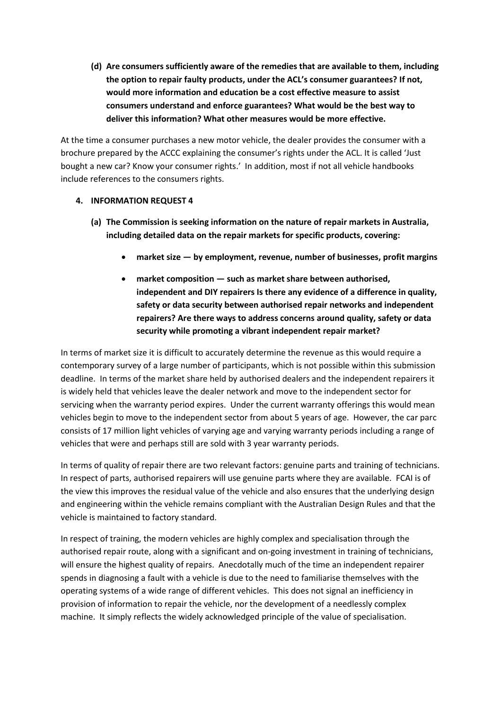**(d) Are consumers sufficiently aware of the remedies that are available to them, including the option to repair faulty products, under the ACL's consumer guarantees? If not, would more information and education be a cost effective measure to assist consumers understand and enforce guarantees? What would be the best way to deliver this information? What other measures would be more effective.**

At the time a consumer purchases a new motor vehicle, the dealer provides the consumer with a brochure prepared by the ACCC explaining the consumer's rights under the ACL. It is called 'Just bought a new car? Know your consumer rights.' In addition, most if not all vehicle handbooks include references to the consumers rights.

#### **4. INFORMATION REQUEST 4**

- **(a) The Commission is seeking information on the nature of repair markets in Australia, including detailed data on the repair markets for specific products, covering:** 
	- **market size — by employment, revenue, number of businesses, profit margins**
	- **market composition — such as market share between authorised, independent and DIY repairers Is there any evidence of a difference in quality, safety or data security between authorised repair networks and independent repairers? Are there ways to address concerns around quality, safety or data security while promoting a vibrant independent repair market?**

In terms of market size it is difficult to accurately determine the revenue as this would require a contemporary survey of a large number of participants, which is not possible within this submission deadline. In terms of the market share held by authorised dealers and the independent repairers it is widely held that vehicles leave the dealer network and move to the independent sector for servicing when the warranty period expires. Under the current warranty offerings this would mean vehicles begin to move to the independent sector from about 5 years of age. However, the car parc consists of 17 million light vehicles of varying age and varying warranty periods including a range of vehicles that were and perhaps still are sold with 3 year warranty periods.

In terms of quality of repair there are two relevant factors: genuine parts and training of technicians. In respect of parts, authorised repairers will use genuine parts where they are available. FCAI is of the view this improves the residual value of the vehicle and also ensures that the underlying design and engineering within the vehicle remains compliant with the Australian Design Rules and that the vehicle is maintained to factory standard.

In respect of training, the modern vehicles are highly complex and specialisation through the authorised repair route, along with a significant and on-going investment in training of technicians, will ensure the highest quality of repairs. Anecdotally much of the time an independent repairer spends in diagnosing a fault with a vehicle is due to the need to familiarise themselves with the operating systems of a wide range of different vehicles. This does not signal an inefficiency in provision of information to repair the vehicle, nor the development of a needlessly complex machine. It simply reflects the widely acknowledged principle of the value of specialisation.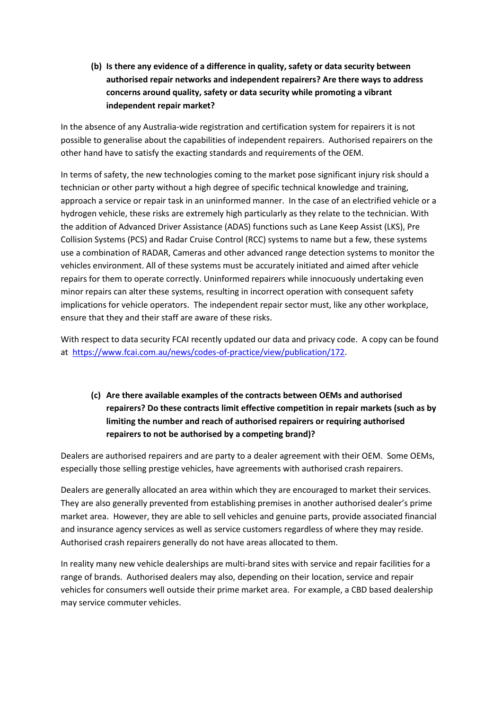**(b) Is there any evidence of a difference in quality, safety or data security between authorised repair networks and independent repairers? Are there ways to address concerns around quality, safety or data security while promoting a vibrant independent repair market?**

In the absence of any Australia-wide registration and certification system for repairers it is not possible to generalise about the capabilities of independent repairers. Authorised repairers on the other hand have to satisfy the exacting standards and requirements of the OEM.

In terms of safety, the new technologies coming to the market pose significant injury risk should a technician or other party without a high degree of specific technical knowledge and training, approach a service or repair task in an uninformed manner. In the case of an electrified vehicle or a hydrogen vehicle, these risks are extremely high particularly as they relate to the technician. With the addition of Advanced Driver Assistance (ADAS) functions such as Lane Keep Assist (LKS), Pre Collision Systems (PCS) and Radar Cruise Control (RCC) systems to name but a few, these systems use a combination of RADAR, Cameras and other advanced range detection systems to monitor the vehicles environment. All of these systems must be accurately initiated and aimed after vehicle repairs for them to operate correctly. Uninformed repairers while innocuously undertaking even minor repairs can alter these systems, resulting in incorrect operation with consequent safety implications for vehicle operators. The independent repair sector must, like any other workplace, ensure that they and their staff are aware of these risks.

With respect to data security FCAI recently updated our data and privacy code. A copy can be found at [https://www.fcai.com.au/news/codes-of-practice/view/publication/172.](https://www.fcai.com.au/news/codes-of-practice/view/publication/172)

**(c) Are there available examples of the contracts between OEMs and authorised repairers? Do these contracts limit effective competition in repair markets (such as by limiting the number and reach of authorised repairers or requiring authorised repairers to not be authorised by a competing brand)?**

Dealers are authorised repairers and are party to a dealer agreement with their OEM. Some OEMs, especially those selling prestige vehicles, have agreements with authorised crash repairers.

Dealers are generally allocated an area within which they are encouraged to market their services. They are also generally prevented from establishing premises in another authorised dealer's prime market area. However, they are able to sell vehicles and genuine parts, provide associated financial and insurance agency services as well as service customers regardless of where they may reside. Authorised crash repairers generally do not have areas allocated to them.

In reality many new vehicle dealerships are multi-brand sites with service and repair facilities for a range of brands. Authorised dealers may also, depending on their location, service and repair vehicles for consumers well outside their prime market area. For example, a CBD based dealership may service commuter vehicles.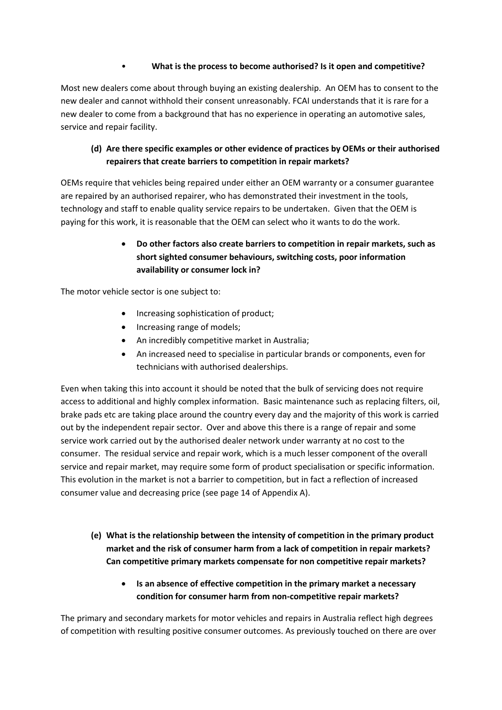#### • **What is the process to become authorised? Is it open and competitive?**

Most new dealers come about through buying an existing dealership. An OEM has to consent to the new dealer and cannot withhold their consent unreasonably. FCAI understands that it is rare for a new dealer to come from a background that has no experience in operating an automotive sales, service and repair facility.

#### **(d) Are there specific examples or other evidence of practices by OEMs or their authorised repairers that create barriers to competition in repair markets?**

OEMs require that vehicles being repaired under either an OEM warranty or a consumer guarantee are repaired by an authorised repairer, who has demonstrated their investment in the tools, technology and staff to enable quality service repairs to be undertaken. Given that the OEM is paying for this work, it is reasonable that the OEM can select who it wants to do the work.

### • **Do other factors also create barriers to competition in repair markets, such as short sighted consumer behaviours, switching costs, poor information availability or consumer lock in?**

The motor vehicle sector is one subject to:

- Increasing sophistication of product;
- Increasing range of models;
- An incredibly competitive market in Australia;
- An increased need to specialise in particular brands or components, even for technicians with authorised dealerships.

Even when taking this into account it should be noted that the bulk of servicing does not require access to additional and highly complex information. Basic maintenance such as replacing filters, oil, brake pads etc are taking place around the country every day and the majority of this work is carried out by the independent repair sector. Over and above this there is a range of repair and some service work carried out by the authorised dealer network under warranty at no cost to the consumer. The residual service and repair work, which is a much lesser component of the overall service and repair market, may require some form of product specialisation or specific information. This evolution in the market is not a barrier to competition, but in fact a reflection of increased consumer value and decreasing price (see page 14 of Appendix A).

- **(e) What is the relationship between the intensity of competition in the primary product market and the risk of consumer harm from a lack of competition in repair markets? Can competitive primary markets compensate for non competitive repair markets?**
	- **Is an absence of effective competition in the primary market a necessary condition for consumer harm from non-competitive repair markets?**

The primary and secondary markets for motor vehicles and repairs in Australia reflect high degrees of competition with resulting positive consumer outcomes. As previously touched on there are over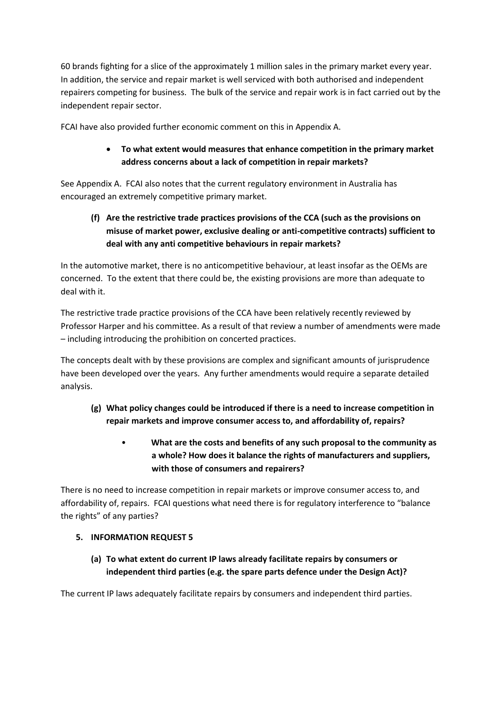60 brands fighting for a slice of the approximately 1 million sales in the primary market every year. In addition, the service and repair market is well serviced with both authorised and independent repairers competing for business. The bulk of the service and repair work is in fact carried out by the independent repair sector.

FCAI have also provided further economic comment on this in Appendix A.

#### • **To what extent would measures that enhance competition in the primary market address concerns about a lack of competition in repair markets?**

See Appendix A. FCAI also notes that the current regulatory environment in Australia has encouraged an extremely competitive primary market.

**(f) Are the restrictive trade practices provisions of the CCA (such as the provisions on misuse of market power, exclusive dealing or anti-competitive contracts) sufficient to deal with any anti competitive behaviours in repair markets?**

In the automotive market, there is no anticompetitive behaviour, at least insofar as the OEMs are concerned. To the extent that there could be, the existing provisions are more than adequate to deal with it.

The restrictive trade practice provisions of the CCA have been relatively recently reviewed by Professor Harper and his committee. As a result of that review a number of amendments were made – including introducing the prohibition on concerted practices.

The concepts dealt with by these provisions are complex and significant amounts of jurisprudence have been developed over the years. Any further amendments would require a separate detailed analysis.

- **(g) What policy changes could be introduced if there is a need to increase competition in repair markets and improve consumer access to, and affordability of, repairs?**
	- **What are the costs and benefits of any such proposal to the community as a whole? How does it balance the rights of manufacturers and suppliers, with those of consumers and repairers?**

There is no need to increase competition in repair markets or improve consumer access to, and affordability of, repairs. FCAI questions what need there is for regulatory interference to "balance the rights" of any parties?

#### **5. INFORMATION REQUEST 5**

**(a) To what extent do current IP laws already facilitate repairs by consumers or independent third parties (e.g. the spare parts defence under the Design Act)?**

The current IP laws adequately facilitate repairs by consumers and independent third parties.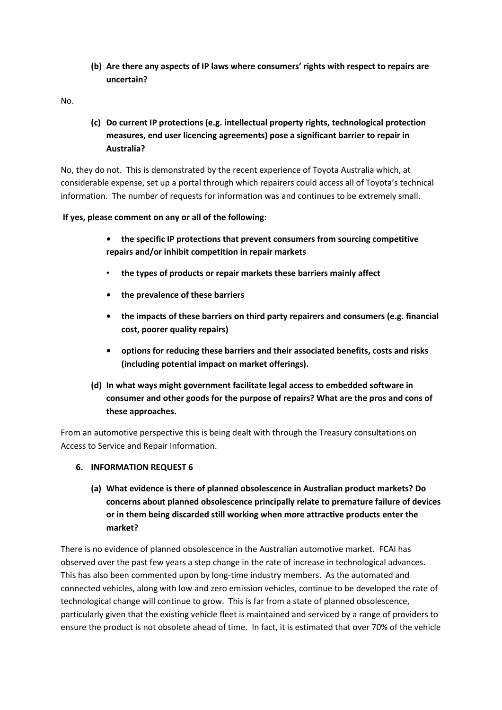**(b) Are there any aspects of IP laws where consumers' rights with respect to repairs are uncertain?**

No.

**(c) Do current IP protections (e.g. intellectual property rights, technological protection measures, end user licencing agreements) pose a significant barrier to repair in Australia?**

No, they do not. This is demonstrated by the recent experience of Toyota Australia which, at considerable expense, set up a portal through which repairers could access all of Toyota's technical information. The number of requests for information was and continues to be extremely small.

#### **If yes, please comment on any or all of the following:**

- **• the specific IP protections that prevent consumers from sourcing competitive repairs and/or inhibit competition in repair markets**
- **the types of products or repair markets these barriers mainly affect**
- **• the prevalence of these barriers**
- **• the impacts of these barriers on third party repairers and consumers (e.g. financial cost, poorer quality repairs)**
- **• options for reducing these barriers and their associated benefits, costs and risks (including potential impact on market offerings).**
- **(d) In what ways might government facilitate legal access to embedded software in consumer and other goods for the purpose of repairs? What are the pros and cons of these approaches.**

From an automotive perspective this is being dealt with through the Treasury consultations on Access to Service and Repair Information.

#### **6. INFORMATION REQUEST 6**

**(a) What evidence is there of planned obsolescence in Australian product markets? Do concerns about planned obsolescence principally relate to premature failure of devices or in them being discarded still working when more attractive products enter the market?**

There is no evidence of planned obsolescence in the Australian automotive market. FCAI has observed over the past few years a step change in the rate of increase in technological advances. This has also been commented upon by long-time industry members. As the automated and connected vehicles, along with low and zero emission vehicles, continue to be developed the rate of technological change will continue to grow. This is far from a state of planned obsolescence, particularly given that the existing vehicle fleet is maintained and serviced by a range of providers to ensure the product is not obsolete ahead of time. In fact, it is estimated that over 70% of the vehicle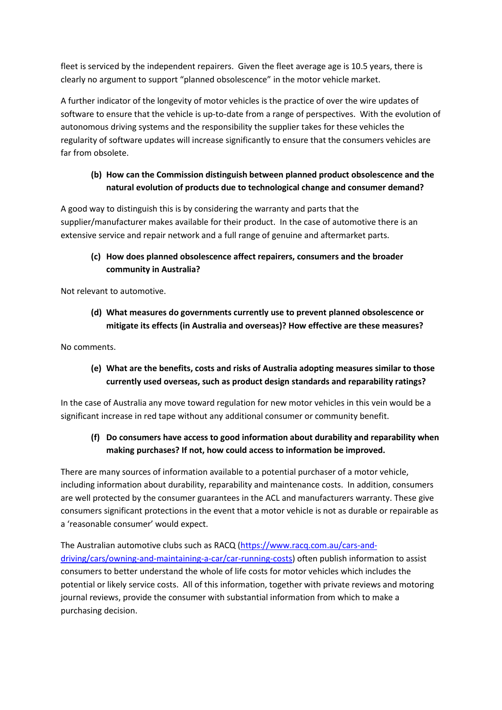fleet is serviced by the independent repairers. Given the fleet average age is 10.5 years, there is clearly no argument to support "planned obsolescence" in the motor vehicle market.

A further indicator of the longevity of motor vehicles is the practice of over the wire updates of software to ensure that the vehicle is up-to-date from a range of perspectives. With the evolution of autonomous driving systems and the responsibility the supplier takes for these vehicles the regularity of software updates will increase significantly to ensure that the consumers vehicles are far from obsolete.

#### **(b) How can the Commission distinguish between planned product obsolescence and the natural evolution of products due to technological change and consumer demand?**

A good way to distinguish this is by considering the warranty and parts that the supplier/manufacturer makes available for their product. In the case of automotive there is an extensive service and repair network and a full range of genuine and aftermarket parts.

#### **(c) How does planned obsolescence affect repairers, consumers and the broader community in Australia?**

Not relevant to automotive.

**(d) What measures do governments currently use to prevent planned obsolescence or mitigate its effects (in Australia and overseas)? How effective are these measures?**

No comments.

#### **(e) What are the benefits, costs and risks of Australia adopting measures similar to those currently used overseas, such as product design standards and reparability ratings?**

In the case of Australia any move toward regulation for new motor vehicles in this vein would be a significant increase in red tape without any additional consumer or community benefit.

#### **(f) Do consumers have access to good information about durability and reparability when making purchases? If not, how could access to information be improved.**

There are many sources of information available to a potential purchaser of a motor vehicle, including information about durability, reparability and maintenance costs. In addition, consumers are well protected by the consumer guarantees in the ACL and manufacturers warranty. These give consumers significant protections in the event that a motor vehicle is not as durable or repairable as a 'reasonable consumer' would expect.

The Australian automotive clubs such as RACQ [\(https://www.racq.com.au/cars-and](https://www.racq.com.au/cars-and-driving/cars/owning-and-maintaining-a-car/car-running-costs)[driving/cars/owning-and-maintaining-a-car/car-running-costs\)](https://www.racq.com.au/cars-and-driving/cars/owning-and-maintaining-a-car/car-running-costs) often publish information to assist consumers to better understand the whole of life costs for motor vehicles which includes the potential or likely service costs. All of this information, together with private reviews and motoring journal reviews, provide the consumer with substantial information from which to make a purchasing decision.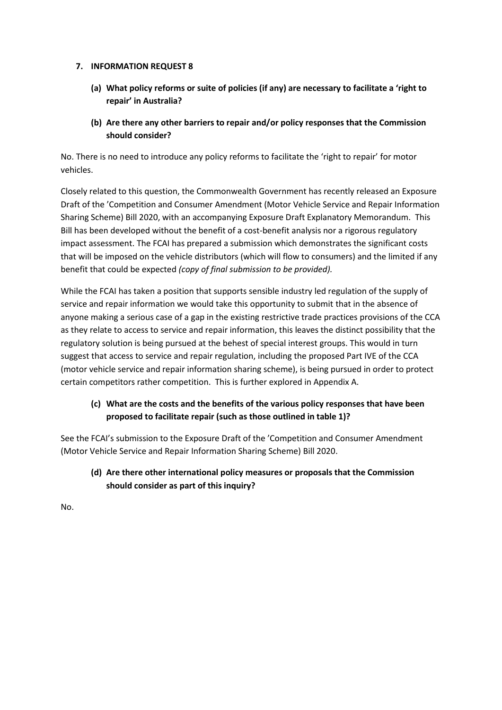#### **7. INFORMATION REQUEST 8**

- **(a) What policy reforms or suite of policies (if any) are necessary to facilitate a 'right to repair' in Australia?**
- **(b) Are there any other barriers to repair and/or policy responses that the Commission should consider?**

No. There is no need to introduce any policy reforms to facilitate the 'right to repair' for motor vehicles.

Closely related to this question, the Commonwealth Government has recently released an Exposure Draft of the 'Competition and Consumer Amendment (Motor Vehicle Service and Repair Information Sharing Scheme) Bill 2020, with an accompanying Exposure Draft Explanatory Memorandum. This Bill has been developed without the benefit of a cost-benefit analysis nor a rigorous regulatory impact assessment. The FCAI has prepared a submission which demonstrates the significant costs that will be imposed on the vehicle distributors (which will flow to consumers) and the limited if any benefit that could be expected *(copy of final submission to be provided).*

While the FCAI has taken a position that supports sensible industry led regulation of the supply of service and repair information we would take this opportunity to submit that in the absence of anyone making a serious case of a gap in the existing restrictive trade practices provisions of the CCA as they relate to access to service and repair information, this leaves the distinct possibility that the regulatory solution is being pursued at the behest of special interest groups. This would in turn suggest that access to service and repair regulation, including the proposed Part IVE of the CCA (motor vehicle service and repair information sharing scheme), is being pursued in order to protect certain competitors rather competition. This is further explored in Appendix A.

#### **(c) What are the costs and the benefits of the various policy responses that have been proposed to facilitate repair (such as those outlined in table 1)?**

See the FCAI's submission to the Exposure Draft of the 'Competition and Consumer Amendment (Motor Vehicle Service and Repair Information Sharing Scheme) Bill 2020.

**(d) Are there other international policy measures or proposals that the Commission should consider as part of this inquiry?**

No.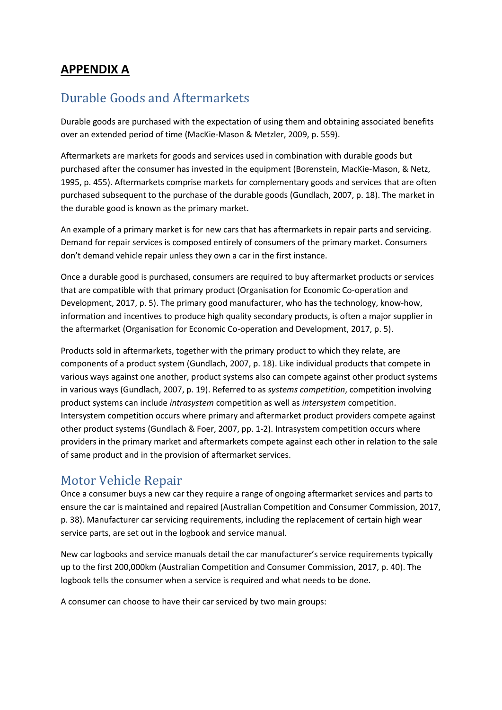## **APPENDIX A**

## Durable Goods and Aftermarkets

Durable goods are purchased with the expectation of using them and obtaining associated benefits over an extended period of time (MacKie-Mason & Metzler, 2009, p. 559).

Aftermarkets are markets for goods and services used in combination with durable goods but purchased after the consumer has invested in the equipment (Borenstein, MacKie-Mason, & Netz, 1995, p. 455). Aftermarkets comprise markets for complementary goods and services that are often purchased subsequent to the purchase of the durable goods (Gundlach, 2007, p. 18). The market in the durable good is known as the primary market.

An example of a primary market is for new cars that has aftermarkets in repair parts and servicing. Demand for repair services is composed entirely of consumers of the primary market. Consumers don't demand vehicle repair unless they own a car in the first instance.

Once a durable good is purchased, consumers are required to buy aftermarket products or services that are compatible with that primary product (Organisation for Economic Co-operation and Development, 2017, p. 5). The primary good manufacturer, who has the technology, know-how, information and incentives to produce high quality secondary products, is often a major supplier in the aftermarket (Organisation for Economic Co-operation and Development, 2017, p. 5).

Products sold in aftermarkets, together with the primary product to which they relate, are components of a product system (Gundlach, 2007, p. 18). Like individual products that compete in various ways against one another, product systems also can compete against other product systems in various ways (Gundlach, 2007, p. 19). Referred to as *systems competition*, competition involving product systems can include *intrasystem* competition as well as *intersystem* competition. Intersystem competition occurs where primary and aftermarket product providers compete against other product systems (Gundlach & Foer, 2007, pp. 1-2). Intrasystem competition occurs where providers in the primary market and aftermarkets compete against each other in relation to the sale of same product and in the provision of aftermarket services.

## Motor Vehicle Repair

Once a consumer buys a new car they require a range of ongoing aftermarket services and parts to ensure the car is maintained and repaired (Australian Competition and Consumer Commission, 2017, p. 38). Manufacturer car servicing requirements, including the replacement of certain high wear service parts, are set out in the logbook and service manual.

New car logbooks and service manuals detail the car manufacturer's service requirements typically up to the first 200,000km (Australian Competition and Consumer Commission, 2017, p. 40). The logbook tells the consumer when a service is required and what needs to be done.

A consumer can choose to have their car serviced by two main groups: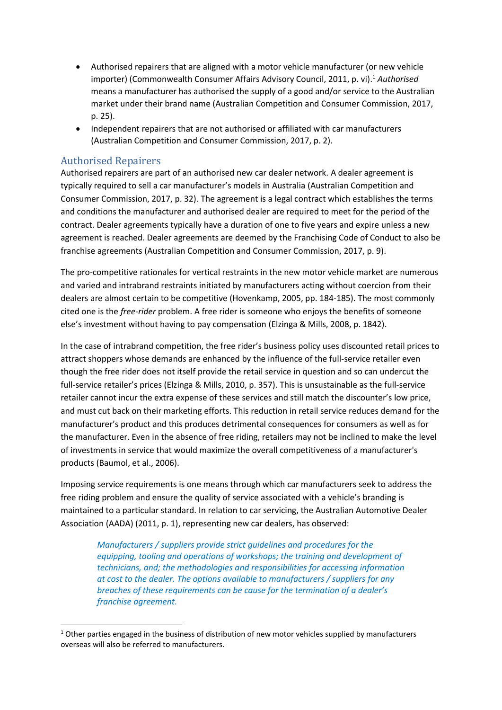- Authorised repairers that are aligned with a motor vehicle manufacturer (or new vehicle importer) (Commonwealth Consumer Affairs Advisory Council, 2011, p. vi). <sup>1</sup> *Authorised* means a manufacturer has authorised the supply of a good and/or service to the Australian market under their brand name (Australian Competition and Consumer Commission, 2017, p. 25).
- Independent repairers that are not authorised or affiliated with car manufacturers (Australian Competition and Consumer Commission, 2017, p. 2).

#### Authorised Repairers

Authorised repairers are part of an authorised new car dealer network. A dealer agreement is typically required to sell a car manufacturer's models in Australia (Australian Competition and Consumer Commission, 2017, p. 32). The agreement is a legal contract which establishes the terms and conditions the manufacturer and authorised dealer are required to meet for the period of the contract. Dealer agreements typically have a duration of one to five years and expire unless a new agreement is reached. Dealer agreements are deemed by the Franchising Code of Conduct to also be franchise agreements (Australian Competition and Consumer Commission, 2017, p. 9).

The pro-competitive rationales for vertical restraints in the new motor vehicle market are numerous and varied and intrabrand restraints initiated by manufacturers acting without coercion from their dealers are almost certain to be competitive (Hovenkamp, 2005, pp. 184-185). The most commonly cited one is the *free-rider* problem. A free rider is someone who enjoys the benefits of someone else's investment without having to pay compensation (Elzinga & Mills, 2008, p. 1842).

In the case of intrabrand competition, the free rider's business policy uses discounted retail prices to attract shoppers whose demands are enhanced by the influence of the full-service retailer even though the free rider does not itself provide the retail service in question and so can undercut the full-service retailer's prices (Elzinga & Mills, 2010, p. 357). This is unsustainable as the full-service retailer cannot incur the extra expense of these services and still match the discounter's low price, and must cut back on their marketing efforts. This reduction in retail service reduces demand for the manufacturer's product and this produces detrimental consequences for consumers as well as for the manufacturer. Even in the absence of free riding, retailers may not be inclined to make the level of investments in service that would maximize the overall competitiveness of a manufacturer's products (Baumol, et al., 2006).

Imposing service requirements is one means through which car manufacturers seek to address the free riding problem and ensure the quality of service associated with a vehicle's branding is maintained to a particular standard. In relation to car servicing, the Australian Automotive Dealer Association (AADA) (2011, p. 1), representing new car dealers, has observed:

*Manufacturers / suppliers provide strict guidelines and procedures for the equipping, tooling and operations of workshops; the training and development of technicians, and; the methodologies and responsibilities for accessing information at cost to the dealer. The options available to manufacturers / suppliers for any breaches of these requirements can be cause for the termination of a dealer's franchise agreement.*

 $1$  Other parties engaged in the business of distribution of new motor vehicles supplied by manufacturers overseas will also be referred to manufacturers.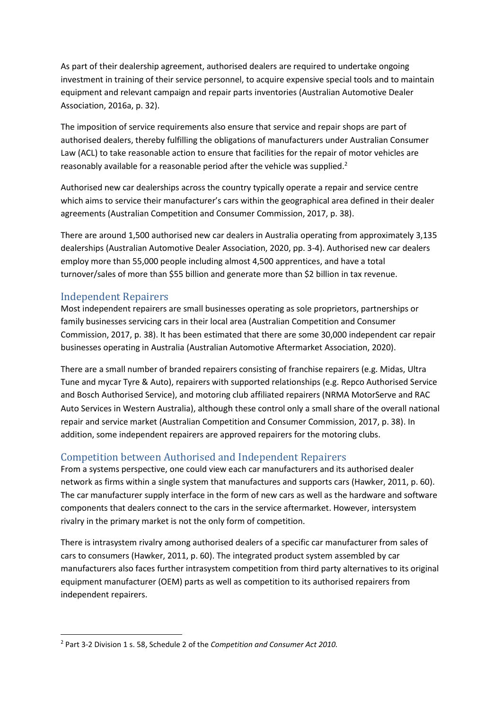As part of their dealership agreement, authorised dealers are required to undertake ongoing investment in training of their service personnel, to acquire expensive special tools and to maintain equipment and relevant campaign and repair parts inventories (Australian Automotive Dealer Association, 2016a, p. 32).

The imposition of service requirements also ensure that service and repair shops are part of authorised dealers, thereby fulfilling the obligations of manufacturers under Australian Consumer Law (ACL) to take reasonable action to ensure that facilities for the repair of motor vehicles are reasonably available for a reasonable period after the vehicle was supplied.<sup>2</sup>

Authorised new car dealerships across the country typically operate a repair and service centre which aims to service their manufacturer's cars within the geographical area defined in their dealer agreements (Australian Competition and Consumer Commission, 2017, p. 38).

There are around 1,500 authorised new car dealers in Australia operating from approximately 3,135 dealerships (Australian Automotive Dealer Association, 2020, pp. 3-4). Authorised new car dealers employ more than 55,000 people including almost 4,500 apprentices, and have a total turnover/sales of more than \$55 billion and generate more than \$2 billion in tax revenue.

#### Independent Repairers

Most independent repairers are small businesses operating as sole proprietors, partnerships or family businesses servicing cars in their local area (Australian Competition and Consumer Commission, 2017, p. 38). It has been estimated that there are some 30,000 independent car repair businesses operating in Australia (Australian Automotive Aftermarket Association, 2020).

There are a small number of branded repairers consisting of franchise repairers (e.g. Midas, Ultra Tune and mycar Tyre & Auto), repairers with supported relationships (e.g. Repco Authorised Service and Bosch Authorised Service), and motoring club affiliated repairers (NRMA MotorServe and RAC Auto Services in Western Australia), although these control only a small share of the overall national repair and service market (Australian Competition and Consumer Commission, 2017, p. 38). In addition, some independent repairers are approved repairers for the motoring clubs.

### Competition between Authorised and Independent Repairers

From a systems perspective, one could view each car manufacturers and its authorised dealer network as firms within a single system that manufactures and supports cars (Hawker, 2011, p. 60). The car manufacturer supply interface in the form of new cars as well as the hardware and software components that dealers connect to the cars in the service aftermarket. However, intersystem rivalry in the primary market is not the only form of competition.

There is intrasystem rivalry among authorised dealers of a specific car manufacturer from sales of cars to consumers (Hawker, 2011, p. 60). The integrated product system assembled by car manufacturers also faces further intrasystem competition from third party alternatives to its original equipment manufacturer (OEM) parts as well as competition to its authorised repairers from independent repairers.

<sup>2</sup> Part 3-2 Division 1 s. 58, Schedule 2 of the *Competition and Consumer Act 2010.*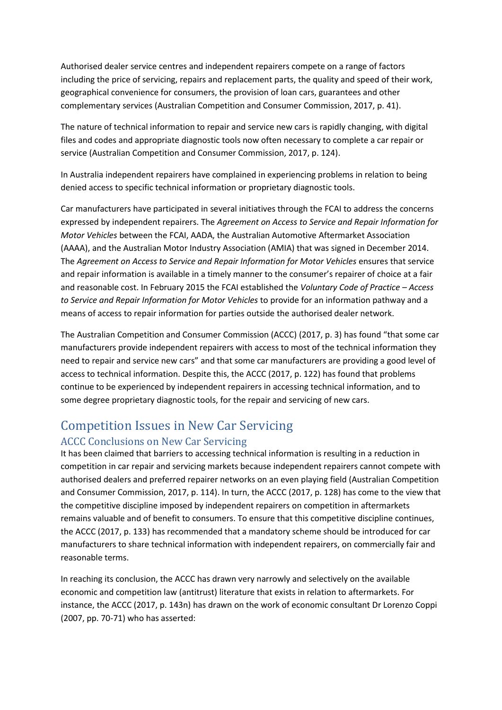Authorised dealer service centres and independent repairers compete on a range of factors including the price of servicing, repairs and replacement parts, the quality and speed of their work, geographical convenience for consumers, the provision of loan cars, guarantees and other complementary services (Australian Competition and Consumer Commission, 2017, p. 41).

The nature of technical information to repair and service new cars is rapidly changing, with digital files and codes and appropriate diagnostic tools now often necessary to complete a car repair or service (Australian Competition and Consumer Commission, 2017, p. 124).

In Australia independent repairers have complained in experiencing problems in relation to being denied access to specific technical information or proprietary diagnostic tools.

Car manufacturers have participated in several initiatives through the FCAI to address the concerns expressed by independent repairers. The *Agreement on Access to Service and Repair Information for Motor Vehicles* between the FCAI, AADA, the Australian Automotive Aftermarket Association (AAAA), and the Australian Motor Industry Association (AMIA) that was signed in December 2014. The *Agreement on Access to Service and Repair Information for Motor Vehicles* ensures that service and repair information is available in a timely manner to the consumer's repairer of choice at a fair and reasonable cost. In February 2015 the FCAI established the *Voluntary Code of Practice – Access to Service and Repair Information for Motor Vehicles* to provide for an information pathway and a means of access to repair information for parties outside the authorised dealer network.

The Australian Competition and Consumer Commission (ACCC) (2017, p. 3) has found "that some car manufacturers provide independent repairers with access to most of the technical information they need to repair and service new cars" and that some car manufacturers are providing a good level of access to technical information. Despite this, the ACCC (2017, p. 122) has found that problems continue to be experienced by independent repairers in accessing technical information, and to some degree proprietary diagnostic tools, for the repair and servicing of new cars.

# Competition Issues in New Car Servicing

#### ACCC Conclusions on New Car Servicing

It has been claimed that barriers to accessing technical information is resulting in a reduction in competition in car repair and servicing markets because independent repairers cannot compete with authorised dealers and preferred repairer networks on an even playing field (Australian Competition and Consumer Commission, 2017, p. 114). In turn, the ACCC (2017, p. 128) has come to the view that the competitive discipline imposed by independent repairers on competition in aftermarkets remains valuable and of benefit to consumers. To ensure that this competitive discipline continues, the ACCC (2017, p. 133) has recommended that a mandatory scheme should be introduced for car manufacturers to share technical information with independent repairers, on commercially fair and reasonable terms.

In reaching its conclusion, the ACCC has drawn very narrowly and selectively on the available economic and competition law (antitrust) literature that exists in relation to aftermarkets. For instance, the ACCC (2017, p. 143n) has drawn on the work of economic consultant Dr Lorenzo Coppi (2007, pp. 70-71) who has asserted: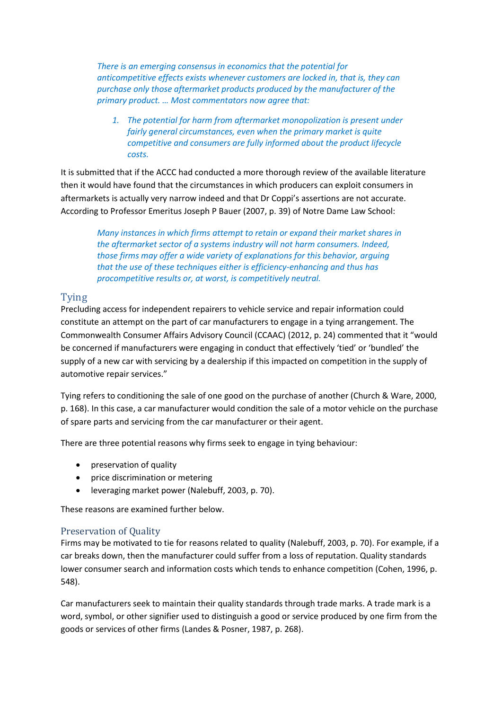*There is an emerging consensus in economics that the potential for anticompetitive effects exists whenever customers are locked in, that is, they can purchase only those aftermarket products produced by the manufacturer of the primary product. … Most commentators now agree that:*

*1. The potential for harm from aftermarket monopolization is present under fairly general circumstances, even when the primary market is quite competitive and consumers are fully informed about the product lifecycle costs.*

It is submitted that if the ACCC had conducted a more thorough review of the available literature then it would have found that the circumstances in which producers can exploit consumers in aftermarkets is actually very narrow indeed and that Dr Coppi's assertions are not accurate. According to Professor Emeritus Joseph P Bauer (2007, p. 39) of Notre Dame Law School:

*Many instances in which firms attempt to retain or expand their market shares in the aftermarket sector of a systems industry will not harm consumers. Indeed, those firms may offer a wide variety of explanations for this behavior, arguing that the use of these techniques either is efficiency-enhancing and thus has procompetitive results or, at worst, is competitively neutral.*

#### Tying

Precluding access for independent repairers to vehicle service and repair information could constitute an attempt on the part of car manufacturers to engage in a tying arrangement. The Commonwealth Consumer Affairs Advisory Council (CCAAC) (2012, p. 24) commented that it "would be concerned if manufacturers were engaging in conduct that effectively 'tied' or 'bundled' the supply of a new car with servicing by a dealership if this impacted on competition in the supply of automotive repair services."

Tying refers to conditioning the sale of one good on the purchase of another (Church & Ware, 2000, p. 168). In this case, a car manufacturer would condition the sale of a motor vehicle on the purchase of spare parts and servicing from the car manufacturer or their agent.

There are three potential reasons why firms seek to engage in tying behaviour:

- preservation of quality
- price discrimination or metering
- leveraging market power (Nalebuff, 2003, p. 70).

These reasons are examined further below.

#### Preservation of Quality

Firms may be motivated to tie for reasons related to quality (Nalebuff, 2003, p. 70). For example, if a car breaks down, then the manufacturer could suffer from a loss of reputation. Quality standards lower consumer search and information costs which tends to enhance competition (Cohen, 1996, p. 548).

Car manufacturers seek to maintain their quality standards through trade marks. A trade mark is a word, symbol, or other signifier used to distinguish a good or service produced by one firm from the goods or services of other firms (Landes & Posner, 1987, p. 268).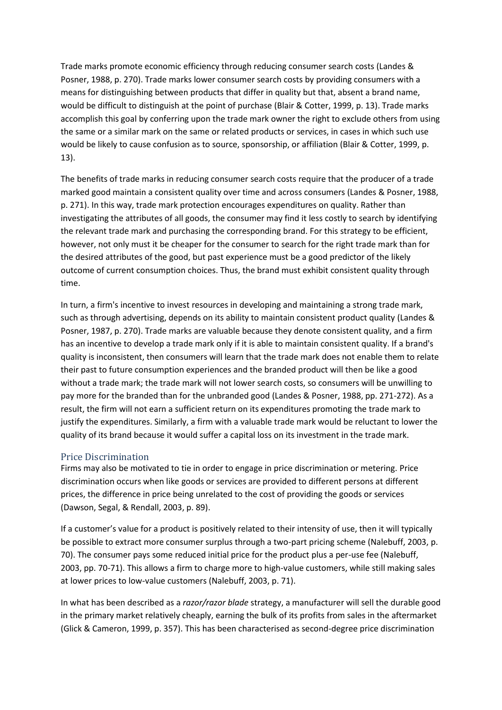Trade marks promote economic efficiency through reducing consumer search costs (Landes & Posner, 1988, p. 270). Trade marks lower consumer search costs by providing consumers with a means for distinguishing between products that differ in quality but that, absent a brand name, would be difficult to distinguish at the point of purchase (Blair & Cotter, 1999, p. 13). Trade marks accomplish this goal by conferring upon the trade mark owner the right to exclude others from using the same or a similar mark on the same or related products or services, in cases in which such use would be likely to cause confusion as to source, sponsorship, or affiliation (Blair & Cotter, 1999, p. 13).

The benefits of trade marks in reducing consumer search costs require that the producer of a trade marked good maintain a consistent quality over time and across consumers (Landes & Posner, 1988, p. 271). In this way, trade mark protection encourages expenditures on quality. Rather than investigating the attributes of all goods, the consumer may find it less costly to search by identifying the relevant trade mark and purchasing the corresponding brand. For this strategy to be efficient, however, not only must it be cheaper for the consumer to search for the right trade mark than for the desired attributes of the good, but past experience must be a good predictor of the likely outcome of current consumption choices. Thus, the brand must exhibit consistent quality through time.

In turn, a firm's incentive to invest resources in developing and maintaining a strong trade mark, such as through advertising, depends on its ability to maintain consistent product quality (Landes & Posner, 1987, p. 270). Trade marks are valuable because they denote consistent quality, and a firm has an incentive to develop a trade mark only if it is able to maintain consistent quality. If a brand's quality is inconsistent, then consumers will learn that the trade mark does not enable them to relate their past to future consumption experiences and the branded product will then be like a good without a trade mark; the trade mark will not lower search costs, so consumers will be unwilling to pay more for the branded than for the unbranded good (Landes & Posner, 1988, pp. 271-272). As a result, the firm will not earn a sufficient return on its expenditures promoting the trade mark to justify the expenditures. Similarly, a firm with a valuable trade mark would be reluctant to lower the quality of its brand because it would suffer a capital loss on its investment in the trade mark.

#### Price Discrimination

Firms may also be motivated to tie in order to engage in price discrimination or metering. Price discrimination occurs when like goods or services are provided to different persons at different prices, the difference in price being unrelated to the cost of providing the goods or services (Dawson, Segal, & Rendall, 2003, p. 89).

If a customer's value for a product is positively related to their intensity of use, then it will typically be possible to extract more consumer surplus through a two-part pricing scheme (Nalebuff, 2003, p. 70). The consumer pays some reduced initial price for the product plus a per-use fee (Nalebuff, 2003, pp. 70-71). This allows a firm to charge more to high-value customers, while still making sales at lower prices to low-value customers (Nalebuff, 2003, p. 71).

In what has been described as a *razor/razor blade* strategy, a manufacturer will sell the durable good in the primary market relatively cheaply, earning the bulk of its profits from sales in the aftermarket (Glick & Cameron, 1999, p. 357). This has been characterised as second-degree price discrimination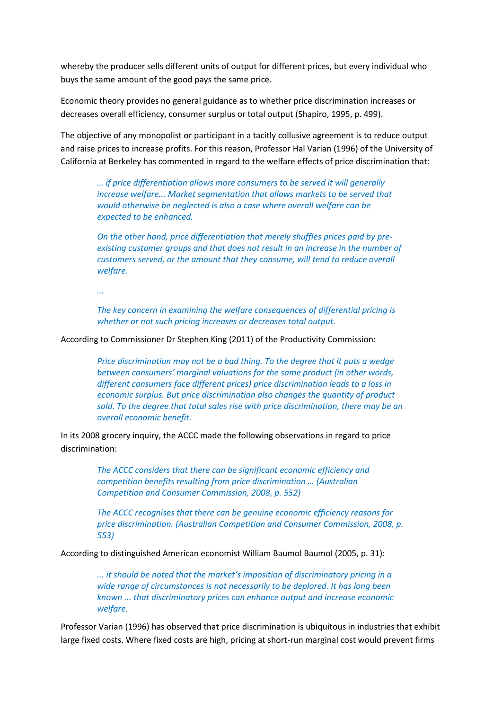whereby the producer sells different units of output for different prices, but every individual who buys the same amount of the good pays the same price.

Economic theory provides no general guidance as to whether price discrimination increases or decreases overall efficiency, consumer surplus or total output (Shapiro, 1995, p. 499).

The objective of any monopolist or participant in a tacitly collusive agreement is to reduce output and raise prices to increase profits. For this reason, Professor Hal Varian (1996) of the University of California at Berkeley has commented in regard to the welfare effects of price discrimination that:

*… if price differentiation allows more consumers to be served it will generally increase welfare... Market segmentation that allows markets to be served that would otherwise be neglected is also a case where overall welfare can be expected to be enhanced.*

*On the other hand, price differentiation that merely shuffles prices paid by preexisting customer groups and that does not result in an increase in the number of customers served, or the amount that they consume, will tend to reduce overall welfare.*

*...*

*The key concern in examining the welfare consequences of differential pricing is whether or not such pricing increases or decreases total output.*

According to Commissioner Dr Stephen King (2011) of the Productivity Commission:

*Price discrimination may not be a bad thing. To the degree that it puts a wedge between consumers' marginal valuations for the same product (in other words, different consumers face different prices) price discrimination leads to a loss in economic surplus. But price discrimination also changes the quantity of product sold. To the degree that total sales rise with price discrimination, there may be an overall economic benefit.*

In its 2008 grocery inquiry, the ACCC made the following observations in regard to price discrimination:

> *The ACCC considers that there can be significant economic efficiency and competition benefits resulting from price discrimination … (Australian Competition and Consumer Commission, 2008, p. 552)*

*The ACCC recognises that there can be genuine economic efficiency reasons for price discrimination. (Australian Competition and Consumer Commission, 2008, p. 553)*

According to distinguished American economist William Baumol Baumol (2005, p. 31):

*... it should be noted that the market's imposition of discriminatory pricing in a wide range of circumstances is not necessarily to be deplored. It has long been known ... that discriminatory prices can enhance output and increase economic welfare.*

Professor Varian (1996) has observed that price discrimination is ubiquitous in industries that exhibit large fixed costs. Where fixed costs are high, pricing at short-run marginal cost would prevent firms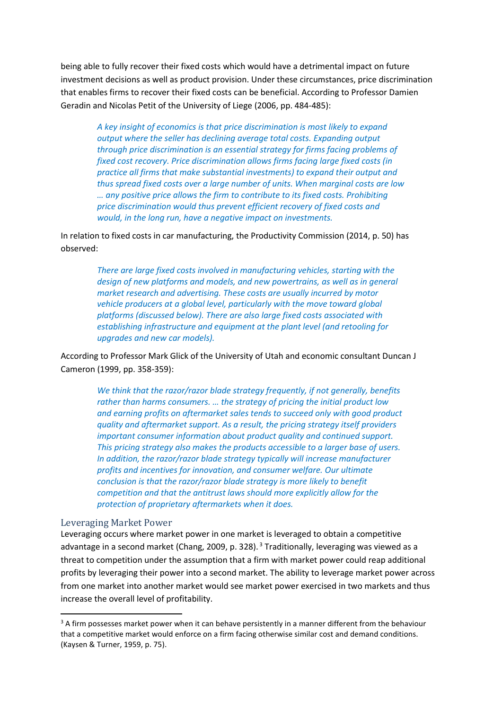being able to fully recover their fixed costs which would have a detrimental impact on future investment decisions as well as product provision. Under these circumstances, price discrimination that enables firms to recover their fixed costs can be beneficial. According to Professor Damien Geradin and Nicolas Petit of the University of Liege (2006, pp. 484-485):

*A key insight of economics is that price discrimination is most likely to expand output where the seller has declining average total costs. Expanding output through price discrimination is an essential strategy for firms facing problems of fixed cost recovery. Price discrimination allows firms facing large fixed costs (in practice all firms that make substantial investments) to expand their output and thus spread fixed costs over a large number of units. When marginal costs are low … any positive price allows the firm to contribute to its fixed costs. Prohibiting price discrimination would thus prevent efficient recovery of fixed costs and would, in the long run, have a negative impact on investments.*

In relation to fixed costs in car manufacturing, the Productivity Commission (2014, p. 50) has observed:

> *There are large fixed costs involved in manufacturing vehicles, starting with the design of new platforms and models, and new powertrains, as well as in general market research and advertising. These costs are usually incurred by motor vehicle producers at a global level, particularly with the move toward global platforms (discussed below). There are also large fixed costs associated with establishing infrastructure and equipment at the plant level (and retooling for upgrades and new car models).*

According to Professor Mark Glick of the University of Utah and economic consultant Duncan J Cameron (1999, pp. 358-359):

> *We think that the razor/razor blade strategy frequently, if not generally, benefits rather than harms consumers. … the strategy of pricing the initial product low and earning profits on aftermarket sales tends to succeed only with good product quality and aftermarket support. As a result, the pricing strategy itself providers important consumer information about product quality and continued support. This pricing strategy also makes the products accessible to a larger base of users. In addition, the razor/razor blade strategy typically will increase manufacturer profits and incentives for innovation, and consumer welfare. Our ultimate conclusion is that the razor/razor blade strategy is more likely to benefit competition and that the antitrust laws should more explicitly allow for the protection of proprietary aftermarkets when it does.*

#### Leveraging Market Power

Leveraging occurs where market power in one market is leveraged to obtain a competitive advantage in a second market (Chang, 2009, p. 328).<sup>3</sup> Traditionally, leveraging was viewed as a threat to competition under the assumption that a firm with market power could reap additional profits by leveraging their power into a second market. The ability to leverage market power across from one market into another market would see market power exercised in two markets and thus increase the overall level of profitability.

 $3$  A firm possesses market power when it can behave persistently in a manner different from the behaviour that a competitive market would enforce on a firm facing otherwise similar cost and demand conditions. (Kaysen & Turner, 1959, p. 75).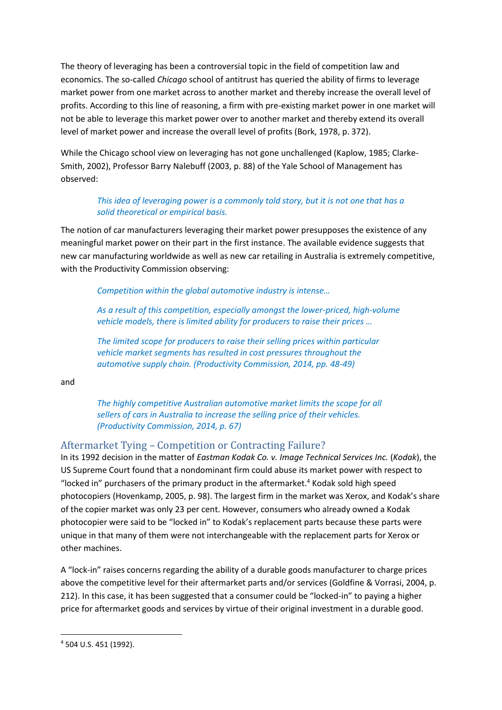The theory of leveraging has been a controversial topic in the field of competition law and economics. The so-called *Chicago* school of antitrust has queried the ability of firms to leverage market power from one market across to another market and thereby increase the overall level of profits. According to this line of reasoning, a firm with pre-existing market power in one market will not be able to leverage this market power over to another market and thereby extend its overall level of market power and increase the overall level of profits (Bork, 1978, p. 372).

While the Chicago school view on leveraging has not gone unchallenged (Kaplow, 1985; Clarke-Smith, 2002), Professor Barry Nalebuff (2003, p. 88) of the Yale School of Management has observed:

#### *This idea of leveraging power is a commonly told story, but it is not one that has a solid theoretical or empirical basis.*

The notion of car manufacturers leveraging their market power presupposes the existence of any meaningful market power on their part in the first instance. The available evidence suggests that new car manufacturing worldwide as well as new car retailing in Australia is extremely competitive, with the Productivity Commission observing:

*Competition within the global automotive industry is intense…*

*As a result of this competition, especially amongst the lower-priced, high-volume vehicle models, there is limited ability for producers to raise their prices …*

*The limited scope for producers to raise their selling prices within particular vehicle market segments has resulted in cost pressures throughout the automotive supply chain. (Productivity Commission, 2014, pp. 48-49)*

and

*The highly competitive Australian automotive market limits the scope for all sellers of cars in Australia to increase the selling price of their vehicles. (Productivity Commission, 2014, p. 67)*

### Aftermarket Tying – Competition or Contracting Failure?

In its 1992 decision in the matter of *Eastman Kodak Co. v. Image Technical Services Inc.* (*Kodak*), the US Supreme Court found that a nondominant firm could abuse its market power with respect to "locked in" purchasers of the primary product in the aftermarket.<sup>4</sup> Kodak sold high speed photocopiers (Hovenkamp, 2005, p. 98). The largest firm in the market was Xerox, and Kodak's share of the copier market was only 23 per cent. However, consumers who already owned a Kodak photocopier were said to be "locked in" to Kodak's replacement parts because these parts were unique in that many of them were not interchangeable with the replacement parts for Xerox or other machines.

A "lock-in" raises concerns regarding the ability of a durable goods manufacturer to charge prices above the competitive level for their aftermarket parts and/or services (Goldfine & Vorrasi, 2004, p. 212). In this case, it has been suggested that a consumer could be "locked-in" to paying a higher price for aftermarket goods and services by virtue of their original investment in a durable good.

<sup>4</sup> 504 U.S. 451 (1992).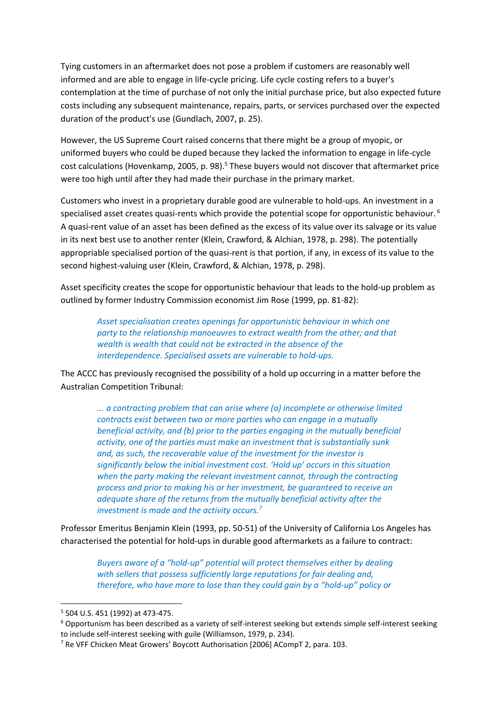Tying customers in an aftermarket does not pose a problem if customers are reasonably well informed and are able to engage in life-cycle pricing. Life cycle costing refers to a buyer's contemplation at the time of purchase of not only the initial purchase price, but also expected future costs including any subsequent maintenance, repairs, parts, or services purchased over the expected duration of the product's use (Gundlach, 2007, p. 25).

However, the US Supreme Court raised concerns that there might be a group of myopic, or uniformed buyers who could be duped because they lacked the information to engage in life-cycle cost calculations (Hovenkamp, 2005, p. 98). <sup>5</sup> These buyers would not discover that aftermarket price were too high until after they had made their purchase in the primary market.

Customers who invest in a proprietary durable good are vulnerable to hold-ups. An investment in a specialised asset creates quasi-rents which provide the potential scope for opportunistic behaviour.<sup>6</sup> A quasi-rent value of an asset has been defined as the excess of its value over its salvage or its value in its next best use to another renter (Klein, Crawford, & Alchian, 1978, p. 298). The potentially appropriable specialised portion of the quasi-rent is that portion, if any, in excess of its value to the second highest-valuing user (Klein, Crawford, & Alchian, 1978, p. 298).

Asset specificity creates the scope for opportunistic behaviour that leads to the hold-up problem as outlined by former Industry Commission economist Jim Rose (1999, pp. 81-82):

*Asset specialisation creates openings for opportunistic behaviour in which one party to the relationship manoeuvres to extract wealth from the other; and that wealth is wealth that could not be extracted in the absence of the interdependence. Specialised assets are vulnerable to hold-ups.* 

The ACCC has previously recognised the possibility of a hold up occurring in a matter before the Australian Competition Tribunal:

> *... a contracting problem that can arise where (a) incomplete or otherwise limited contracts exist between two or more parties who can engage in a mutually beneficial activity, and (b) prior to the parties engaging in the mutually beneficial activity, one of the parties must make an investment that is substantially sunk and, as such, the recoverable value of the investment for the investor is significantly below the initial investment cost. 'Hold up' occurs in this situation when the party making the relevant investment cannot, through the contracting process and prior to making his or her investment, be guaranteed to receive an adequate share of the returns from the mutually beneficial activity after the investment is made and the activity occurs.<sup>7</sup>*

Professor Emeritus Benjamin Klein (1993, pp. 50-51) of the University of California Los Angeles has characterised the potential for hold-ups in durable good aftermarkets as a failure to contract:

*Buyers aware of a "hold-up" potential will protect themselves either by dealing with sellers that possess sufficiently large reputations for fair dealing and, therefore, who have more to lose than they could gain by a "hold-up" policy or* 

<sup>5</sup> 504 U.S. 451 (1992) at 473-475.

<sup>6</sup> Opportunism has been described as a variety of self-interest seeking but extends simple self-interest seeking to include self-interest seeking with guile (Williamson, 1979, p. 234).

<sup>7</sup> Re VFF Chicken Meat Growers' Boycott Authorisation [2006] ACompT 2, para. 103.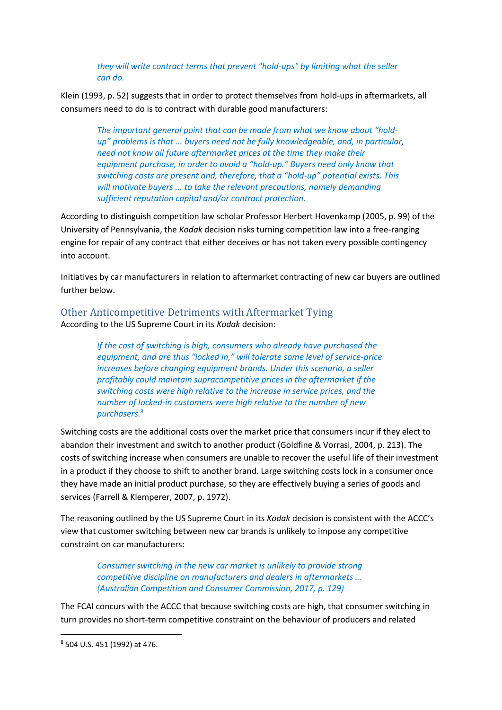*they will write contract terms that prevent "hold-ups" by limiting what the seller can do.*

Klein (1993, p. 52) suggests that in order to protect themselves from hold-ups in aftermarkets, all consumers need to do is to contract with durable good manufacturers:

*The important general point that can be made from what we know about "holdup" problems is that ... buyers need not be fully knowledgeable, and, in particular, need not know all future aftermarket prices at the time they make their equipment purchase, in order to avoid a "hold-up." Buyers need only know that switching costs are present and, therefore, that a "hold-up" potential exists. This will motivate buyers ... to take the relevant precautions, namely demanding sufficient reputation capital and/or contract protection.*

According to distinguish competition law scholar Professor Herbert Hovenkamp (2005, p. 99) of the University of Pennsylvania, the *Kodak* decision risks turning competition law into a free-ranging engine for repair of any contract that either deceives or has not taken every possible contingency into account.

Initiatives by car manufacturers in relation to aftermarket contracting of new car buyers are outlined further below.

Other Anticompetitive Detriments with Aftermarket Tying According to the US Supreme Court in its *Kodak* decision:

> *If the cost of switching is high, consumers who already have purchased the equipment, and are thus "locked in," will tolerate some level of service-price increases before changing equipment brands. Under this scenario, a seller profitably could maintain supracompetitive prices in the aftermarket if the switching costs were high relative to the increase in service prices, and the number of locked-in customers were high relative to the number of new purchasers.*<sup>8</sup>

Switching costs are the additional costs over the market price that consumers incur if they elect to abandon their investment and switch to another product (Goldfine & Vorrasi, 2004, p. 213). The costs of switching increase when consumers are unable to recover the useful life of their investment in a product if they choose to shift to another brand. Large switching costs lock in a consumer once they have made an initial product purchase, so they are effectively buying a series of goods and services (Farrell & Klemperer, 2007, p. 1972).

The reasoning outlined by the US Supreme Court in its *Kodak* decision is consistent with the ACCC's view that customer switching between new car brands is unlikely to impose any competitive constraint on car manufacturers:

*Consumer switching in the new car market is unlikely to provide strong competitive discipline on manufacturers and dealers in aftermarkets … (Australian Competition and Consumer Commission, 2017, p. 129)*

The FCAI concurs with the ACCC that because switching costs are high, that consumer switching in turn provides no short-term competitive constraint on the behaviour of producers and related

<sup>8</sup> 504 U.S. 451 (1992) at 476.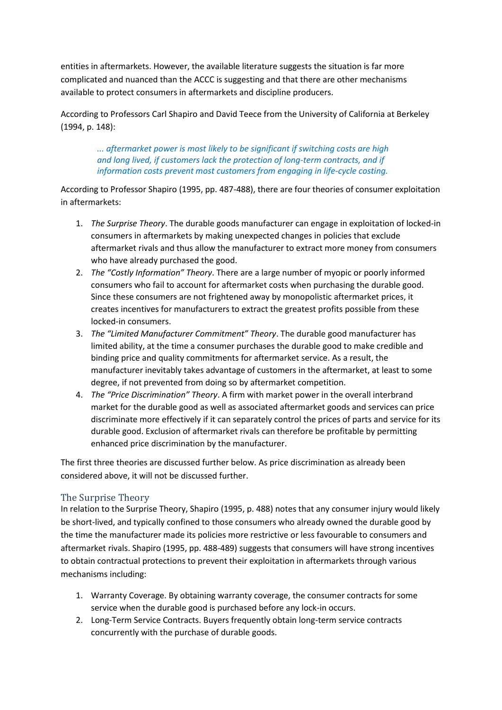entities in aftermarkets. However, the available literature suggests the situation is far more complicated and nuanced than the ACCC is suggesting and that there are other mechanisms available to protect consumers in aftermarkets and discipline producers.

According to Professors Carl Shapiro and David Teece from the University of California at Berkeley (1994, p. 148):

*... aftermarket power is most likely to be significant if switching costs are high and long lived, if customers lack the protection of long-term contracts, and if information costs prevent most customers from engaging in life-cycle costing.*

According to Professor Shapiro (1995, pp. 487-488), there are four theories of consumer exploitation in aftermarkets:

- 1. *The Surprise Theory*. The durable goods manufacturer can engage in exploitation of locked-in consumers in aftermarkets by making unexpected changes in policies that exclude aftermarket rivals and thus allow the manufacturer to extract more money from consumers who have already purchased the good.
- 2. *The "Costly Information" Theory*. There are a large number of myopic or poorly informed consumers who fail to account for aftermarket costs when purchasing the durable good. Since these consumers are not frightened away by monopolistic aftermarket prices, it creates incentives for manufacturers to extract the greatest profits possible from these locked-in consumers.
- 3. *The "Limited Manufacturer Commitment" Theory*. The durable good manufacturer has limited ability, at the time a consumer purchases the durable good to make credible and binding price and quality commitments for aftermarket service. As a result, the manufacturer inevitably takes advantage of customers in the aftermarket, at least to some degree, if not prevented from doing so by aftermarket competition.
- 4. *The "Price Discrimination" Theory*. A firm with market power in the overall interbrand market for the durable good as well as associated aftermarket goods and services can price discriminate more effectively if it can separately control the prices of parts and service for its durable good. Exclusion of aftermarket rivals can therefore be profitable by permitting enhanced price discrimination by the manufacturer.

The first three theories are discussed further below. As price discrimination as already been considered above, it will not be discussed further.

#### The Surprise Theory

In relation to the Surprise Theory, Shapiro (1995, p. 488) notes that any consumer injury would likely be short-lived, and typically confined to those consumers who already owned the durable good by the time the manufacturer made its policies more restrictive or less favourable to consumers and aftermarket rivals. Shapiro (1995, pp. 488-489) suggests that consumers will have strong incentives to obtain contractual protections to prevent their exploitation in aftermarkets through various mechanisms including:

- 1. Warranty Coverage. By obtaining warranty coverage, the consumer contracts for some service when the durable good is purchased before any lock-in occurs.
- 2. Long-Term Service Contracts. Buyers frequently obtain long-term service contracts concurrently with the purchase of durable goods.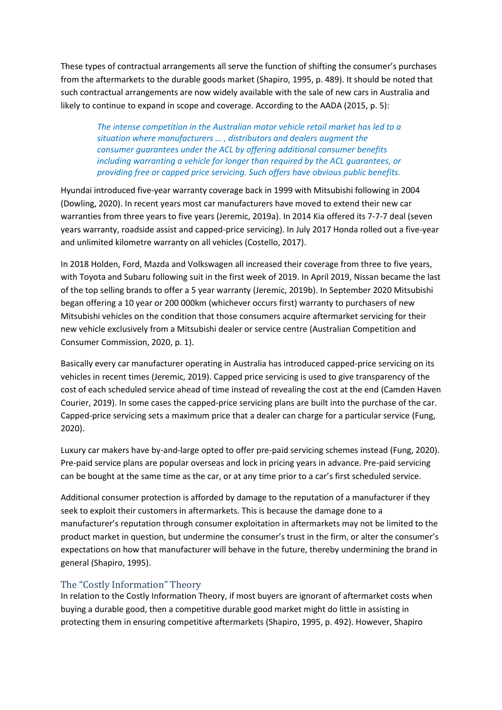These types of contractual arrangements all serve the function of shifting the consumer's purchases from the aftermarkets to the durable goods market (Shapiro, 1995, p. 489). It should be noted that such contractual arrangements are now widely available with the sale of new cars in Australia and likely to continue to expand in scope and coverage. According to the AADA (2015, p. 5):

*The intense competition in the Australian motor vehicle retail market has led to a situation where manufacturers … , distributors and dealers augment the consumer guarantees under the ACL by offering additional consumer benefits including warranting a vehicle for longer than required by the ACL guarantees, or providing free or capped price servicing. Such offers have obvious public benefits.*

[Hyundai](https://www.caradvice.com.au/hyundai/) introduced five-year warranty coverage back in 1999 with Mitsubishi following in 2004 (Dowling, 2020). In recent years most car manufacturers have moved to extend their new car warranties from three years to five years (Jeremic, 2019a). In 2014 Kia offered its 7-7-7 deal (seven years warranty, roadside assist and capped-price servicing). In July 2017 Honda rolled out a five-year and unlimited kilometre warranty on all vehicles (Costello, 2017).

In 2018 Holden, Ford, Mazda and Volkswagen all increased their coverage from three to five years, with Toyota and Subaru following suit in the first week of 2019. In April 2019, Nissan became the last of the top selling brands to offer a 5 year warranty (Jeremic, 2019b). In September 2020 Mitsubishi began offering a 10 year or 200 000km (whichever occurs first) warranty to purchasers of new Mitsubishi vehicles on the condition that those consumers acquire aftermarket servicing for their new vehicle exclusively from a Mitsubishi dealer or service centre (Australian Competition and Consumer Commission, 2020, p. 1).

Basically every car manufacturer operating in Australia has introduced capped-price servicing on its vehicles in recent times (Jeremic, 2019). Capped price servicing is used to give transparency of the cost of each scheduled service ahead of time instead of revealing the cost at the end (Camden Haven Courier, 2019). In some cases the capped-price servicing plans are built into the purchase of the car. Capped-price servicing sets a maximum price that a dealer can charge for a particular service (Fung, 2020).

Luxury car makers have by-and-large opted to offer pre-paid servicing schemes instead (Fung, 2020). Pre-paid service plans are popular overseas and lock in pricing years in advance. Pre-paid servicing can be bought at the same time as the car, or at any time prior to a car's first scheduled service.

Additional consumer protection is afforded by damage to the reputation of a manufacturer if they seek to exploit their customers in aftermarkets. This is because the damage done to a manufacturer's reputation through consumer exploitation in aftermarkets may not be limited to the product market in question, but undermine the consumer's trust in the firm, or alter the consumer's expectations on how that manufacturer will behave in the future, thereby undermining the brand in general (Shapiro, 1995).

#### The "Costly Information" Theory

In relation to the Costly Information Theory, if most buyers are ignorant of aftermarket costs when buying a durable good, then a competitive durable good market might do little in assisting in protecting them in ensuring competitive aftermarkets (Shapiro, 1995, p. 492). However, Shapiro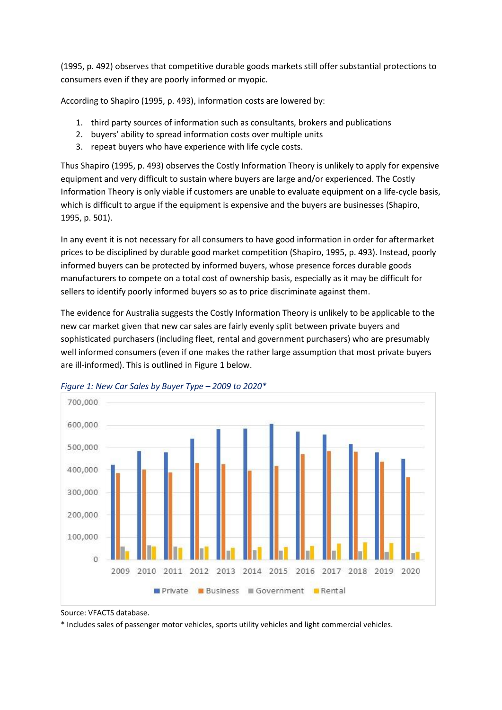(1995, p. 492) observes that competitive durable goods markets still offer substantial protections to consumers even if they are poorly informed or myopic.

According to Shapiro (1995, p. 493), information costs are lowered by:

- 1. third party sources of information such as consultants, brokers and publications
- 2. buyers' ability to spread information costs over multiple units
- 3. repeat buyers who have experience with life cycle costs.

Thus Shapiro (1995, p. 493) observes the Costly Information Theory is unlikely to apply for expensive equipment and very difficult to sustain where buyers are large and/or experienced. The Costly Information Theory is only viable if customers are unable to evaluate equipment on a life-cycle basis, which is difficult to argue if the equipment is expensive and the buyers are businesses (Shapiro, 1995, p. 501).

In any event it is not necessary for all consumers to have good information in order for aftermarket prices to be disciplined by durable good market competition (Shapiro, 1995, p. 493). Instead, poorly informed buyers can be protected by informed buyers, whose presence forces durable goods manufacturers to compete on a total cost of ownership basis, especially as it may be difficult for sellers to identify poorly informed buyers so as to price discriminate against them.

The evidence for Australia suggests the Costly Information Theory is unlikely to be applicable to the new car market given that new car sales are fairly evenly split between private buyers and sophisticated purchasers (including fleet, rental and government purchasers) who are presumably well informed consumers (even if one makes the rather large assumption that most private buyers are ill-informed). This is outlined in Figure 1 below.





\* Includes sales of passenger motor vehicles, sports utility vehicles and light commercial vehicles.

Source: VFACTS database.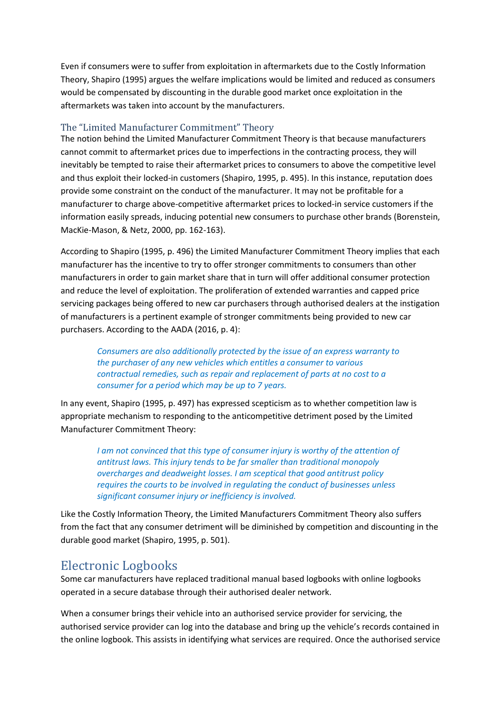Even if consumers were to suffer from exploitation in aftermarkets due to the Costly Information Theory, Shapiro (1995) argues the welfare implications would be limited and reduced as consumers would be compensated by discounting in the durable good market once exploitation in the aftermarkets was taken into account by the manufacturers.

#### The "Limited Manufacturer Commitment" Theory

The notion behind the Limited Manufacturer Commitment Theory is that because manufacturers cannot commit to aftermarket prices due to imperfections in the contracting process, they will inevitably be tempted to raise their aftermarket prices to consumers to above the competitive level and thus exploit their locked-in customers (Shapiro, 1995, p. 495). In this instance, reputation does provide some constraint on the conduct of the manufacturer. It may not be profitable for a manufacturer to charge above-competitive aftermarket prices to locked-in service customers if the information easily spreads, inducing potential new consumers to purchase other brands (Borenstein, MacKie-Mason, & Netz, 2000, pp. 162-163).

According to Shapiro (1995, p. 496) the Limited Manufacturer Commitment Theory implies that each manufacturer has the incentive to try to offer stronger commitments to consumers than other manufacturers in order to gain market share that in turn will offer additional consumer protection and reduce the level of exploitation. The proliferation of extended warranties and capped price servicing packages being offered to new car purchasers through authorised dealers at the instigation of manufacturers is a pertinent example of stronger commitments being provided to new car purchasers. According to the AADA (2016, p. 4):

*Consumers are also additionally protected by the issue of an express warranty to the purchaser of any new vehicles which entitles a consumer to various contractual remedies, such as repair and replacement of parts at no cost to a consumer for a period which may be up to 7 years.*

In any event, Shapiro (1995, p. 497) has expressed scepticism as to whether competition law is appropriate mechanism to responding to the anticompetitive detriment posed by the Limited Manufacturer Commitment Theory:

> *I am not convinced that this type of consumer injury is worthy of the attention of antitrust laws. This injury tends to be far smaller than traditional monopoly overcharges and deadweight losses. I am sceptical that good antitrust policy requires the courts to be involved in regulating the conduct of businesses unless significant consumer injury or inefficiency is involved.*

Like the Costly Information Theory, the Limited Manufacturers Commitment Theory also suffers from the fact that any consumer detriment will be diminished by competition and discounting in the durable good market (Shapiro, 1995, p. 501).

### Electronic Logbooks

Some car manufacturers have replaced traditional manual based logbooks with online logbooks operated in a secure database through their authorised dealer network.

When a consumer brings their vehicle into an authorised service provider for servicing, the authorised service provider can log into the database and bring up the vehicle's records contained in the online logbook. This assists in identifying what services are required. Once the authorised service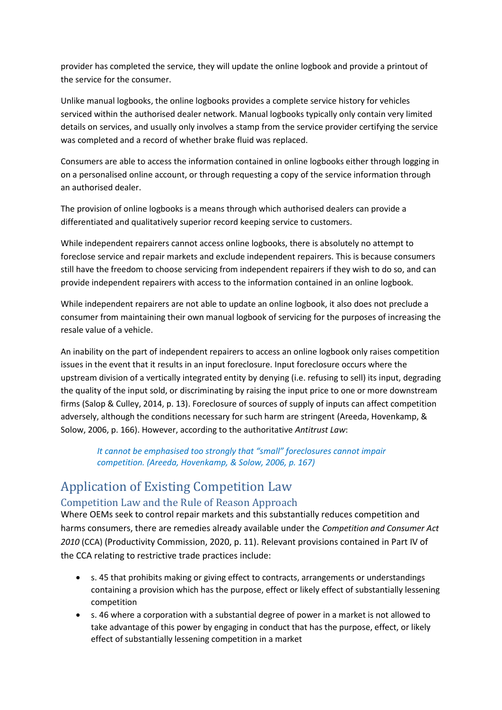provider has completed the service, they will update the online logbook and provide a printout of the service for the consumer.

Unlike manual logbooks, the online logbooks provides a complete service history for vehicles serviced within the authorised dealer network. Manual logbooks typically only contain very limited details on services, and usually only involves a stamp from the service provider certifying the service was completed and a record of whether brake fluid was replaced.

Consumers are able to access the information contained in online logbooks either through logging in on a personalised online account, or through requesting a copy of the service information through an authorised dealer.

The provision of online logbooks is a means through which authorised dealers can provide a differentiated and qualitatively superior record keeping service to customers.

While independent repairers cannot access online logbooks, there is absolutely no attempt to foreclose service and repair markets and exclude independent repairers. This is because consumers still have the freedom to choose servicing from independent repairers if they wish to do so, and can provide independent repairers with access to the information contained in an online logbook.

While independent repairers are not able to update an online logbook, it also does not preclude a consumer from maintaining their own manual logbook of servicing for the purposes of increasing the resale value of a vehicle.

An inability on the part of independent repairers to access an online logbook only raises competition issues in the event that it results in an input foreclosure. Input foreclosure occurs where the upstream division of a vertically integrated entity by denying (i.e. refusing to sell) its input, degrading the quality of the input sold, or discriminating by raising the input price to one or more downstream firms (Salop & Culley, 2014, p. 13). Foreclosure of sources of supply of inputs can affect competition adversely, although the conditions necessary for such harm are stringent (Areeda, Hovenkamp, & Solow, 2006, p. 166). However, according to the authoritative *Antitrust Law*:

*It cannot be emphasised too strongly that "small" foreclosures cannot impair competition. (Areeda, Hovenkamp, & Solow, 2006, p. 167)*

# Application of Existing Competition Law

#### Competition Law and the Rule of Reason Approach

Where OEMs seek to control repair markets and this substantially reduces competition and harms consumers, there are remedies already available under the *Competition and Consumer Act 2010* (CCA) (Productivity Commission, 2020, p. 11). Relevant provisions contained in Part IV of the CCA relating to restrictive trade practices include:

- s. 45 that prohibits making or giving effect to contracts, arrangements or understandings containing a provision which has the purpose, effect or likely effect of substantially lessening competition
- s. 46 where a corporation with a substantial degree of power in a market is not allowed to take advantage of this power by engaging in conduct that has the purpose, effect, or likely effect of substantially lessening competition in a market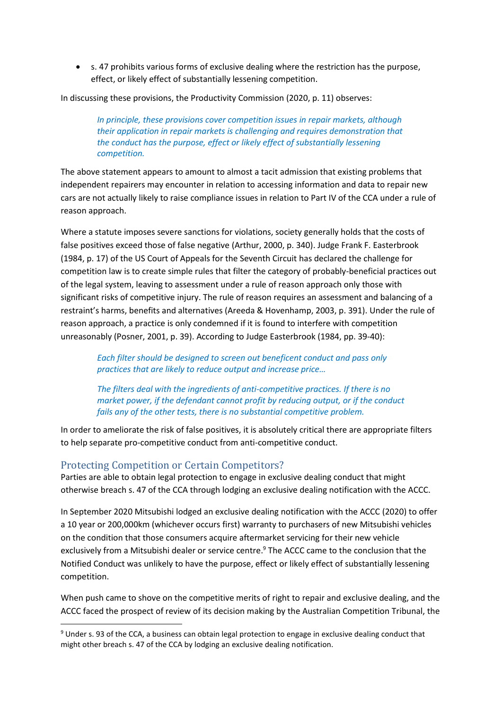• s. 47 prohibits various forms of exclusive dealing where the restriction has the purpose, effect, or likely effect of substantially lessening competition.

In discussing these provisions, the Productivity Commission (2020, p. 11) observes:

*In principle, these provisions cover competition issues in repair markets, although their application in repair markets is challenging and requires demonstration that the conduct has the purpose, effect or likely effect of substantially lessening competition.*

The above statement appears to amount to almost a tacit admission that existing problems that independent repairers may encounter in relation to accessing information and data to repair new cars are not actually likely to raise compliance issues in relation to Part IV of the CCA under a rule of reason approach.

Where a statute imposes severe sanctions for violations, society generally holds that the costs of false positives exceed those of false negative (Arthur, 2000, p. 340). Judge Frank F. Easterbrook (1984, p. 17) of the US Court of Appeals for the Seventh Circuit has declared the challenge for competition law is to create simple rules that filter the category of probably-beneficial practices out of the legal system, leaving to assessment under a rule of reason approach only those with significant risks of competitive injury. The rule of reason requires an assessment and balancing of a restraint's harms, benefits and alternatives (Areeda & Hovenhamp, 2003, p. 391). Under the rule of reason approach, a practice is only condemned if it is found to interfere with competition unreasonably (Posner, 2001, p. 39). According to Judge Easterbrook (1984, pp. 39-40):

*Each filter should be designed to screen out beneficent conduct and pass only practices that are likely to reduce output and increase price…*

*The filters deal with the ingredients of anti-competitive practices. If there is no market power, if the defendant cannot profit by reducing output, or if the conduct fails any of the other tests, there is no substantial competitive problem.*

In order to ameliorate the risk of false positives, it is absolutely critical there are appropriate filters to help separate pro-competitive conduct from anti-competitive conduct.

#### Protecting Competition or Certain Competitors?

Parties are able to obtain legal protection to engage in exclusive dealing conduct that might otherwise breach s. 47 of the CCA through lodging an exclusive dealing notification with the ACCC.

In September 2020 Mitsubishi lodged an exclusive dealing notification with the ACCC (2020) to offer a 10 year or 200,000km (whichever occurs first) warranty to purchasers of new Mitsubishi vehicles on the condition that those consumers acquire aftermarket servicing for their new vehicle exclusively from a Mitsubishi dealer or service centre.<sup>9</sup> The ACCC came to the conclusion that the Notified Conduct was unlikely to have the purpose, effect or likely effect of substantially lessening competition.

When push came to shove on the competitive merits of right to repair and exclusive dealing, and the ACCC faced the prospect of review of its decision making by the Australian Competition Tribunal, the

<sup>9</sup> Under s. 93 of the CCA, a business can obtain legal protection to engage in exclusive dealing conduct that might other breach s. 47 of the CCA by lodging an exclusive dealing notification.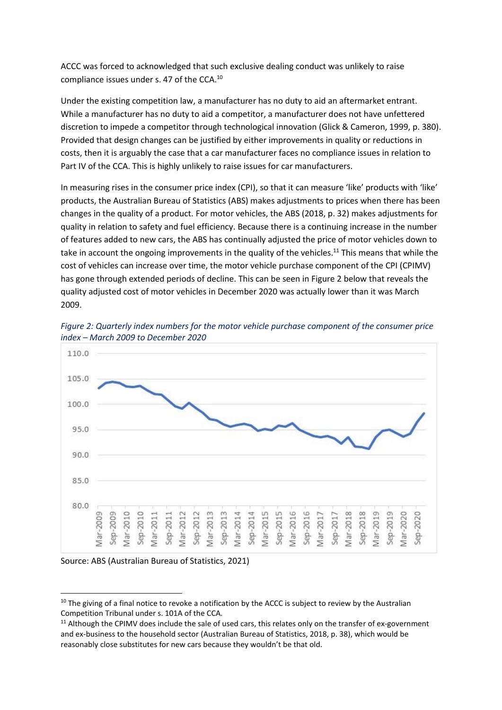ACCC was forced to acknowledged that such exclusive dealing conduct was unlikely to raise compliance issues under s. 47 of the CCA.<sup>10</sup>

Under the existing competition law, a manufacturer has no duty to aid an aftermarket entrant. While a manufacturer has no duty to aid a competitor, a manufacturer does not have unfettered discretion to impede a competitor through technological innovation (Glick & Cameron, 1999, p. 380). Provided that design changes can be justified by either improvements in quality or reductions in costs, then it is arguably the case that a car manufacturer faces no compliance issues in relation to Part IV of the CCA. This is highly unlikely to raise issues for car manufacturers.

In measuring rises in the consumer price index (CPI), so that it can measure 'like' products with 'like' products, the Australian Bureau of Statistics (ABS) makes adjustments to prices when there has been changes in the quality of a product. For motor vehicles, the ABS (2018, p. 32) makes adjustments for quality in relation to safety and fuel efficiency. Because there is a continuing increase in the number of features added to new cars, the ABS has continually adjusted the price of motor vehicles down to take in account the ongoing improvements in the quality of the vehicles.<sup>11</sup> This means that while the cost of vehicles can increase over time, the motor vehicle purchase component of the CPI (CPIMV) has gone through extended periods of decline. This can be seen in Figure 2 below that reveals the quality adjusted cost of motor vehicles in December 2020 was actually lower than it was March 2009.



*Figure 2: Quarterly index numbers for the motor vehicle purchase component of the consumer price index – March 2009 to December 2020*

Source: ABS (Australian Bureau of Statistics, 2021)

 $10$  The giving of a final notice to revoke a notification by the ACCC is subject to review by the Australian Competition Tribunal under s. 101A of the CCA.

<sup>&</sup>lt;sup>11</sup> Although the CPIMV does include the sale of used cars, this relates only on the transfer of ex-government and ex-business to the household sector (Australian Bureau of Statistics, 2018, p. 38), which would be reasonably close substitutes for new cars because they wouldn't be that old.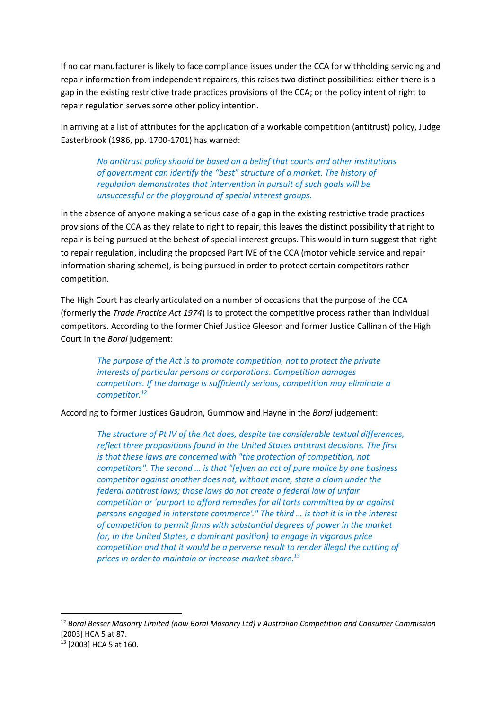If no car manufacturer is likely to face compliance issues under the CCA for withholding servicing and repair information from independent repairers, this raises two distinct possibilities: either there is a gap in the existing restrictive trade practices provisions of the CCA; or the policy intent of right to repair regulation serves some other policy intention.

In arriving at a list of attributes for the application of a workable competition (antitrust) policy, Judge Easterbrook (1986, pp. 1700-1701) has warned:

*No antitrust policy should be based on a belief that courts and other institutions of government can identify the "best" structure of a market. The history of regulation demonstrates that intervention in pursuit of such goals will be unsuccessful or the playground of special interest groups.*

In the absence of anyone making a serious case of a gap in the existing restrictive trade practices provisions of the CCA as they relate to right to repair, this leaves the distinct possibility that right to repair is being pursued at the behest of special interest groups. This would in turn suggest that right to repair regulation, including the proposed Part IVE of the CCA (motor vehicle service and repair information sharing scheme), is being pursued in order to protect certain competitors rather competition.

The High Court has clearly articulated on a number of occasions that the purpose of the CCA (formerly the *Trade Practice Act 1974*) is to protect the competitive process rather than individual competitors. According to the former Chief Justice Gleeson and former Justice Callinan of the High Court in the *Boral* judgement:

*The purpose of the Act is to promote competition, not to protect the private interests of particular persons or corporations. Competition damages competitors. If the damage is sufficiently serious, competition may eliminate a competitor.<sup>12</sup>*

According to former Justices Gaudron, Gummow and Hayne in the *Boral* judgement:

*The structure of Pt IV of the Act does, despite the considerable textual differences, reflect three propositions found in the United States antitrust decisions. The first is that these laws are concerned with "the protection of competition, not competitors". The second … is that "[e]ven an act of pure malice by one business competitor against another does not, without more, state a claim under the federal antitrust laws; those laws do not create a federal law of unfair competition or 'purport to afford remedies for all torts committed by or against persons engaged in interstate commerce'." The third … is that it is in the interest of competition to permit firms with substantial degrees of power in the market (or, in the United States, a dominant position) to engage in vigorous price competition and that it would be a perverse result to render illegal the cutting of prices in order to maintain or increase market share. 13*

<sup>12</sup> *Boral Besser Masonry Limited (now Boral Masonry Ltd) v Australian Competition and Consumer Commission*  [2003] HCA 5 at 87.

<sup>13</sup> [2003] HCA 5 at 160.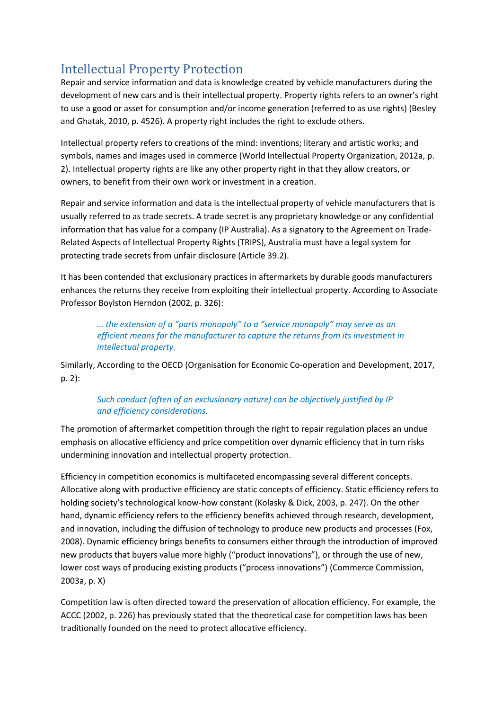# Intellectual Property Protection

Repair and service information and data is knowledge created by vehicle manufacturers during the development of new cars and is their intellectual property. Property rights refers to an owner's right to use a good or asset for consumption and/or income generation (referred to as use rights) (Besley and Ghatak, 2010, p. 4526). A property right includes the right to exclude others.

Intellectual property refers to creations of the mind: inventions; literary and artistic works; and symbols, names and images used in commerce (World Intellectual Property Organization, 2012a, p. 2). Intellectual property rights are like any other property right in that they allow creators, or owners, to benefit from their own work or investment in a creation.

Repair and service information and data is the intellectual property of vehicle manufacturers that is usually referred to as trade secrets. A trade secret is any proprietary knowledge or any confidential information that has value for a company (IP Australia). As a signatory to the Agreement on Trade-Related Aspects of Intellectual Property Rights (TRIPS), Australia must have a legal system for protecting trade secrets from unfair disclosure (Article 39.2).

It has been contended that exclusionary practices in aftermarkets by durable goods manufacturers enhances the returns they receive from exploiting their intellectual property. According to Associate Professor Boylston Herndon (2002, p. 326):

*… the extension of a "parts monopoly" to a "service monopoly" may serve as an efficient means for the manufacturer to capture the returns from its investment in intellectual property.*

Similarly, According to the OECD (Organisation for Economic Co-operation and Development, 2017, p. 2):

#### *Such conduct (often of an exclusionary nature) can be objectively justified by IP and efficiency considerations.*

The promotion of aftermarket competition through the right to repair regulation places an undue emphasis on allocative efficiency and price competition over dynamic efficiency that in turn risks undermining innovation and intellectual property protection.

Efficiency in competition economics is multifaceted encompassing several different concepts. Allocative along with productive efficiency are static concepts of efficiency. Static efficiency refers to holding society's technological know-how constant (Kolasky & Dick, 2003, p. 247). On the other hand, dynamic efficiency refers to the efficiency benefits achieved through research, development, and innovation, including the diffusion of technology to produce new products and processes (Fox, 2008). Dynamic efficiency brings benefits to consumers either through the introduction of improved new products that buyers value more highly ("product innovations"), or through the use of new, lower cost ways of producing existing products ("process innovations") (Commerce Commission, 2003a, p. X)

Competition law is often directed toward the preservation of allocation efficiency. For example, the ACCC (2002, p. 226) has previously stated that the theoretical case for competition laws has been traditionally founded on the need to protect allocative efficiency.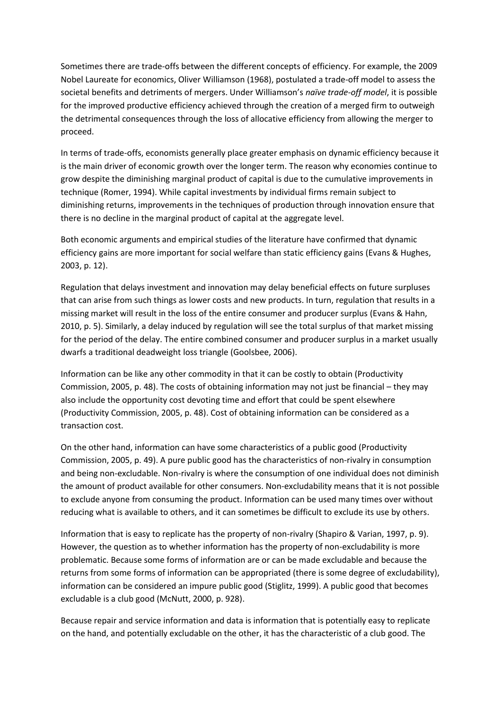Sometimes there are trade-offs between the different concepts of efficiency. For example, the 2009 Nobel Laureate for economics, Oliver Williamson (1968), postulated a trade-off model to assess the societal benefits and detriments of mergers. Under Williamson's *naïve trade-off model*, it is possible for the improved productive efficiency achieved through the creation of a merged firm to outweigh the detrimental consequences through the loss of allocative efficiency from allowing the merger to proceed.

In terms of trade-offs, economists generally place greater emphasis on dynamic efficiency because it is the main driver of economic growth over the longer term. The reason why economies continue to grow despite the diminishing marginal product of capital is due to the cumulative improvements in technique (Romer, 1994). While capital investments by individual firms remain subject to diminishing returns, improvements in the techniques of production through innovation ensure that there is no decline in the marginal product of capital at the aggregate level.

Both economic arguments and empirical studies of the literature have confirmed that dynamic efficiency gains are more important for social welfare than static efficiency gains (Evans & Hughes, 2003, p. 12).

Regulation that delays investment and innovation may delay beneficial effects on future surpluses that can arise from such things as lower costs and new products. In turn, regulation that results in a missing market will result in the loss of the entire consumer and producer surplus (Evans & Hahn, 2010, p. 5). Similarly, a delay induced by regulation will see the total surplus of that market missing for the period of the delay. The entire combined consumer and producer surplus in a market usually dwarfs a traditional deadweight loss triangle (Goolsbee, 2006).

Information can be like any other commodity in that it can be costly to obtain (Productivity Commission, 2005, p. 48). The costs of obtaining information may not just be financial – they may also include the opportunity cost devoting time and effort that could be spent elsewhere (Productivity Commission, 2005, p. 48). Cost of obtaining information can be considered as a transaction cost.

On the other hand, information can have some characteristics of a public good (Productivity Commission, 2005, p. 49). A pure public good has the characteristics of non-rivalry in consumption and being non-excludable. Non-rivalry is where the consumption of one individual does not diminish the amount of product available for other consumers. Non-excludability means that it is not possible to exclude anyone from consuming the product. Information can be used many times over without reducing what is available to others, and it can sometimes be difficult to exclude its use by others.

Information that is easy to replicate has the property of non-rivalry (Shapiro & Varian, 1997, p. 9). However, the question as to whether information has the property of non-excludability is more problematic. Because some forms of information are or can be made excludable and because the returns from some forms of information can be appropriated (there is some degree of excludability), information can be considered an impure public good (Stiglitz, 1999). A public good that becomes excludable is a club good (McNutt, 2000, p. 928).

Because repair and service information and data is information that is potentially easy to replicate on the hand, and potentially excludable on the other, it has the characteristic of a club good. The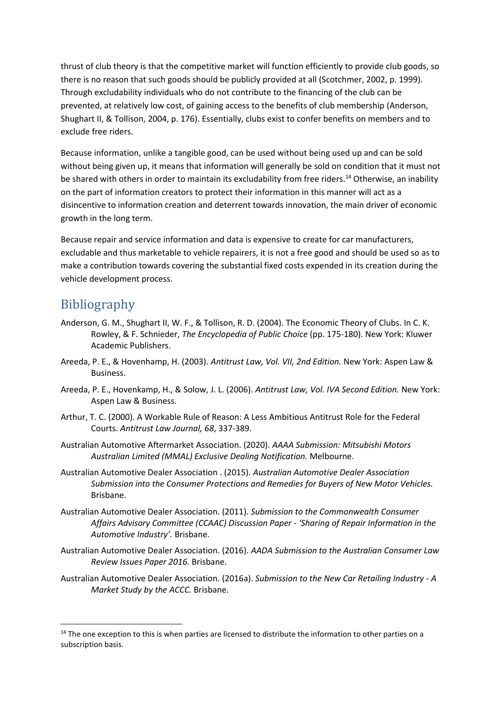thrust of club theory is that the competitive market will function efficiently to provide club goods, so there is no reason that such goods should be publicly provided at all (Scotchmer, 2002, p. 1999). Through excludability individuals who do not contribute to the financing of the club can be prevented, at relatively low cost, of gaining access to the benefits of club membership (Anderson, Shughart II, & Tollison, 2004, p. 176). Essentially, clubs exist to confer benefits on members and to exclude free riders.

Because information, unlike a tangible good, can be used without being used up and can be sold without being given up, it means that information will generally be sold on condition that it must not be shared with others in order to maintain its excludability from free riders.<sup>14</sup> Otherwise, an inability on the part of information creators to protect their information in this manner will act as a disincentive to information creation and deterrent towards innovation, the main driver of economic growth in the long term.

Because repair and service information and data is expensive to create for car manufacturers, excludable and thus marketable to vehicle repairers, it is not a free good and should be used so as to make a contribution towards covering the substantial fixed costs expended in its creation during the vehicle development process.

### Bibliography

- Anderson, G. M., Shughart II, W. F., & Tollison, R. D. (2004). The Economic Theory of Clubs. In C. K. Rowley, & F. Schnieder, *The Encyclopedia of Public Choice* (pp. 175-180). New York: Kluwer Academic Publishers.
- Areeda, P. E., & Hovenhamp, H. (2003). *Antitrust Law, Vol. VII, 2nd Edition.* New York: Aspen Law & Business.
- Areeda, P. E., Hovenkamp, H., & Solow, J. L. (2006). *Antitrust Law, Vol. IVA Second Edition.* New York: Aspen Law & Business.
- Arthur, T. C. (2000). A Workable Rule of Reason: A Less Ambitious Antitrust Role for the Federal Courts. *Antitrust Law Journal, 68*, 337-389.
- Australian Automotive Aftermarket Association. (2020). *AAAA Submission: Mitsubishi Motors Australian Limited (MMAL) Exclusive Dealing Notification.* Melbourne.
- Australian Automotive Dealer Association . (2015). *Australian Automotive Dealer Association Submission into the Consumer Protections and Remedies for Buyers of New Motor Vehicles.* Brisbane.
- Australian Automotive Dealer Association. (2011). *Submission to the Commonwealth Consumer Affairs Advisory Committee (CCAAC) Discussion Paper - 'Sharing of Repair Information in the Automotive Industry'.* Brisbane.
- Australian Automotive Dealer Association. (2016). *AADA Submission to the Australian Consumer Law Review Issues Paper 2016.* Brisbane.
- Australian Automotive Dealer Association. (2016a). *Submission to the New Car Retailing Industry - A Market Study by the ACCC.* Brisbane.

 $14$  The one exception to this is when parties are licensed to distribute the information to other parties on a subscription basis.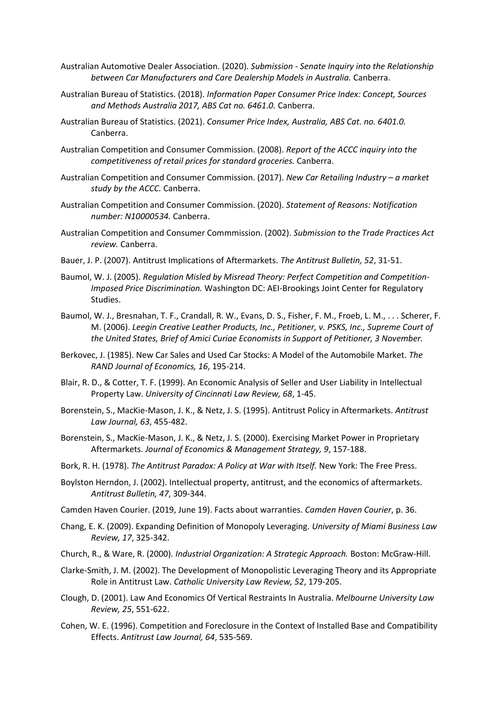- Australian Automotive Dealer Association. (2020). *Submission - Senate Inquiry into the Relationship between Car Manufacturers and Care Dealership Models in Australia.* Canberra.
- Australian Bureau of Statistics. (2018). *Information Paper Consumer Price Index: Concept, Sources and Methods Australia 2017, ABS Cat no. 6461.0.* Canberra.
- Australian Bureau of Statistics. (2021). *Consumer Price Index, Australia, ABS Cat. no. 6401.0.* Canberra.
- Australian Competition and Consumer Commission. (2008). *Report of the ACCC inquiry into the competitiveness of retail prices for standard groceries.* Canberra.
- Australian Competition and Consumer Commission. (2017). *New Car Retailing Industry – a market study by the ACCC.* Canberra.
- Australian Competition and Consumer Commission. (2020). *Statement of Reasons: Notification number: N10000534.* Canberra.
- Australian Competition and Consumer Commmission. (2002). *Submission to the Trade Practices Act review.* Canberra.
- Bauer, J. P. (2007). Antitrust Implications of Aftermarkets. *The Antitrust Bulletin, 52*, 31-51.
- Baumol, W. J. (2005). *Regulation Misled by Misread Theory: Perfect Competition and Competition-Imposed Price Discrimination.* Washington DC: AEI-Brookings Joint Center for Regulatory Studies.
- Baumol, W. J., Bresnahan, T. F., Crandall, R. W., Evans, D. S., Fisher, F. M., Froeb, L. M., . . . Scherer, F. M. (2006). *Leegin Creative Leather Products, Inc., Petitioner, v. PSKS, Inc., Supreme Court of the United States, Brief of Amici Curiae Economists in Support of Petitioner, 3 November.*
- Berkovec, J. (1985). New Car Sales and Used Car Stocks: A Model of the Automobile Market. *The RAND Journal of Economics, 16*, 195-214.
- Blair, R. D., & Cotter, T. F. (1999). An Economic Analysis of Seller and User Liability in Intellectual Property Law. *University of Cincinnati Law Review, 68*, 1-45.
- Borenstein, S., MacKie-Mason, J. K., & Netz, J. S. (1995). Antitrust Policy in Aftermarkets. *Antitrust Law Journal, 63*, 455-482.
- Borenstein, S., MacKie-Mason, J. K., & Netz, J. S. (2000). Exercising Market Power in Proprietary Aftermarkets. *Journal of Economics & Management Strategy, 9*, 157-188.
- Bork, R. H. (1978). *The Antitrust Paradox: A Policy at War with Itself.* New York: The Free Press.
- Boylston Herndon, J. (2002). Intellectual property, antitrust, and the economics of aftermarkets. *Antitrust Bulletin, 47*, 309-344.
- Camden Haven Courier. (2019, June 19). Facts about warranties. *Camden Haven Courier*, p. 36.
- Chang, E. K. (2009). Expanding Definition of Monopoly Leveraging. *University of Miami Business Law Review, 17*, 325-342.
- Church, R., & Ware, R. (2000). *Industrial Organization: A Strategic Approach.* Boston: McGraw-Hill.
- Clarke-Smith, J. M. (2002). The Development of Monopolistic Leveraging Theory and its Appropriate Role in Antitrust Law. *Catholic University Law Review, 52*, 179-205.
- Clough, D. (2001). Law And Economics Of Vertical Restraints In Australia. *Melbourne University Law Review, 25*, 551-622.
- Cohen, W. E. (1996). Competition and Foreclosure in the Context of Installed Base and Compatibility Effects. *Antitrust Law Journal, 64*, 535-569.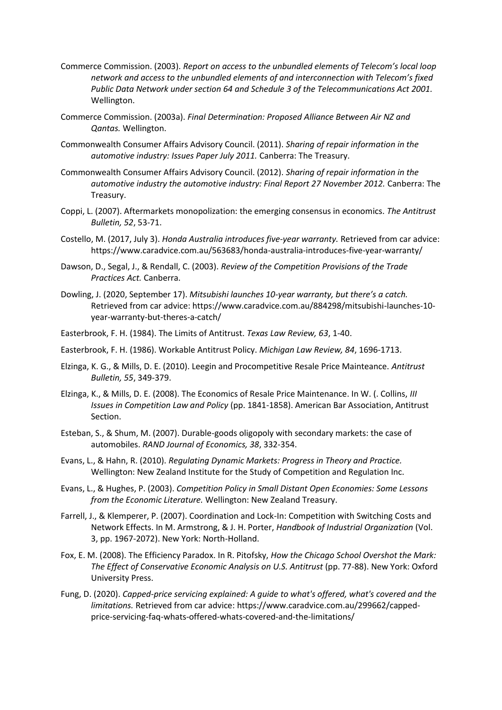- Commerce Commission. (2003). *Report on access to the unbundled elements of Telecom's local loop network and access to the unbundled elements of and interconnection with Telecom's fixed Public Data Network under section 64 and Schedule 3 of the Telecommunications Act 2001.* Wellington.
- Commerce Commission. (2003a). *Final Determination: Proposed Alliance Between Air NZ and Qantas.* Wellington.
- Commonwealth Consumer Affairs Advisory Council. (2011). *Sharing of repair information in the automotive industry: Issues Paper July 2011.* Canberra: The Treasury.
- Commonwealth Consumer Affairs Advisory Council. (2012). *Sharing of repair information in the automotive industry the automotive industry: Final Report 27 November 2012.* Canberra: The Treasury.
- Coppi, L. (2007). Aftermarkets monopolization: the emerging consensus in economics. *The Antitrust Bulletin, 52*, 53-71.
- Costello, M. (2017, July 3). *Honda Australia introduces five-year warranty.* Retrieved from car advice: https://www.caradvice.com.au/563683/honda-australia-introduces-five-year-warranty/
- Dawson, D., Segal, J., & Rendall, C. (2003). *Review of the Competition Provisions of the Trade Practices Act.* Canberra.
- Dowling, J. (2020, September 17). *Mitsubishi launches 10-year warranty, but there's a catch.* Retrieved from car advice: https://www.caradvice.com.au/884298/mitsubishi-launches-10 year-warranty-but-theres-a-catch/
- Easterbrook, F. H. (1984). The Limits of Antitrust. *Texas Law Review, 63*, 1-40.
- Easterbrook, F. H. (1986). Workable Antitrust Policy. *Michigan Law Review, 84*, 1696-1713.
- Elzinga, K. G., & Mills, D. E. (2010). Leegin and Procompetitive Resale Price Mainteance. *Antitrust Bulletin, 55*, 349-379.
- Elzinga, K., & Mills, D. E. (2008). The Economics of Resale Price Maintenance. In W. (. Collins, *III Issues in Competition Law and Policy* (pp. 1841-1858). American Bar Association, Antitrust Section.
- Esteban, S., & Shum, M. (2007). Durable-goods oligopoly with secondary markets: the case of automobiles. *RAND Journal of Economics, 38*, 332-354.
- Evans, L., & Hahn, R. (2010). *Regulating Dynamic Markets: Progress in Theory and Practice.* Wellington: New Zealand Institute for the Study of Competition and Regulation Inc.
- Evans, L., & Hughes, P. (2003). *Competition Policy in Small Distant Open Economies: Some Lessons from the Economic Literature.* Wellington: New Zealand Treasury.
- Farrell, J., & Klemperer, P. (2007). Coordination and Lock-In: Competition with Switching Costs and Network Effects. In M. Armstrong, & J. H. Porter, *Handbook of Industrial Organization* (Vol. 3, pp. 1967-2072). New York: North-Holland.
- Fox, E. M. (2008). The Efficiency Paradox. In R. Pitofsky, *How the Chicago School Overshot the Mark: The Effect of Conservative Economic Analysis on U.S. Antitrust* (pp. 77-88). New York: Oxford University Press.
- Fung, D. (2020). *Capped-price servicing explained: A guide to what's offered, what's covered and the limitations.* Retrieved from car advice: https://www.caradvice.com.au/299662/cappedprice-servicing-faq-whats-offered-whats-covered-and-the-limitations/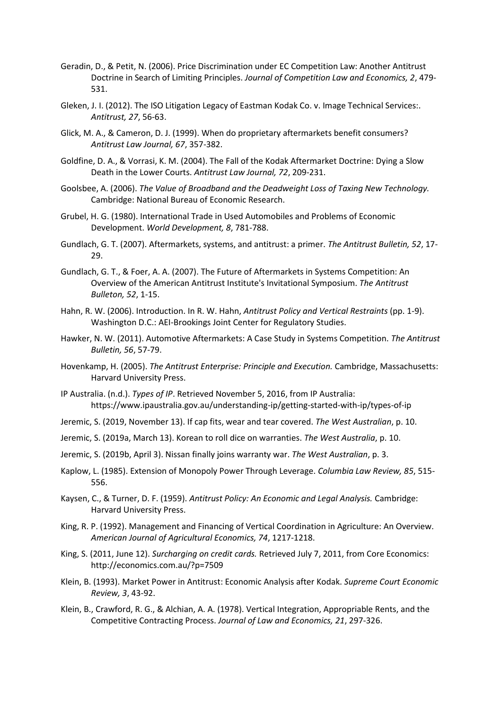- Geradin, D., & Petit, N. (2006). Price Discrimination under EC Competition Law: Another Antitrust Doctrine in Search of Limiting Principles. *Journal of Competition Law and Economics, 2*, 479- 531.
- Gleken, J. I. (2012). The ISO Litigation Legacy of Eastman Kodak Co. v. Image Technical Services:. *Antitrust, 27*, 56-63.
- Glick, M. A., & Cameron, D. J. (1999). When do proprietary aftermarkets benefit consumers? *Antitrust Law Journal, 67*, 357-382.
- Goldfine, D. A., & Vorrasi, K. M. (2004). The Fall of the Kodak Aftermarket Doctrine: Dying a Slow Death in the Lower Courts. *Antitrust Law Journal, 72*, 209-231.
- Goolsbee, A. (2006). *The Value of Broadband and the Deadweight Loss of Taxing New Technology.* Cambridge: National Bureau of Economic Research.
- Grubel, H. G. (1980). International Trade in Used Automobiles and Problems of Economic Development. *World Development, 8*, 781-788.
- Gundlach, G. T. (2007). Aftermarkets, systems, and antitrust: a primer. *The Antitrust Bulletin, 52*, 17- 29.
- Gundlach, G. T., & Foer, A. A. (2007). The Future of Aftermarkets in Systems Competition: An Overview of the American Antitrust Institute's Invitational Symposium. *The Antitrust Bulleton, 52*, 1-15.
- Hahn, R. W. (2006). Introduction. In R. W. Hahn, *Antitrust Policy and Vertical Restraints* (pp. 1-9). Washington D.C.: AEI-Brookings Joint Center for Regulatory Studies.
- Hawker, N. W. (2011). Automotive Aftermarkets: A Case Study in Systems Competition. *The Antitrust Bulletin, 56*, 57-79.
- Hovenkamp, H. (2005). *The Antitrust Enterprise: Principle and Execution.* Cambridge, Massachusetts: Harvard University Press.
- IP Australia. (n.d.). *Types of IP*. Retrieved November 5, 2016, from IP Australia: https://www.ipaustralia.gov.au/understanding-ip/getting-started-with-ip/types-of-ip
- Jeremic, S. (2019, November 13). If cap fits, wear and tear covered. *The West Australian*, p. 10.
- Jeremic, S. (2019a, March 13). Korean to roll dice on warranties. *The West Australia*, p. 10.
- Jeremic, S. (2019b, April 3). Nissan finally joins warranty war. *The West Australian*, p. 3.
- Kaplow, L. (1985). Extension of Monopoly Power Through Leverage. *Columbia Law Review, 85*, 515- 556.
- Kaysen, C., & Turner, D. F. (1959). *Antitrust Policy: An Economic and Legal Analysis.* Cambridge: Harvard University Press.
- King, R. P. (1992). Management and Financing of Vertical Coordination in Agriculture: An Overview. *American Journal of Agricultural Economics, 74*, 1217-1218.
- King, S. (2011, June 12). *Surcharging on credit cards.* Retrieved July 7, 2011, from Core Economics: http://economics.com.au/?p=7509
- Klein, B. (1993). Market Power in Antitrust: Economic Analysis after Kodak. *Supreme Court Economic Review, 3*, 43-92.
- Klein, B., Crawford, R. G., & Alchian, A. A. (1978). Vertical Integration, Appropriable Rents, and the Competitive Contracting Process. *Journal of Law and Economics, 21*, 297-326.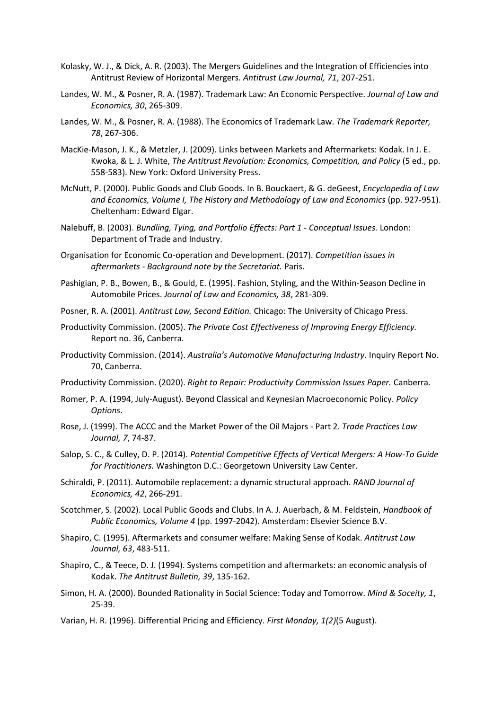- Kolasky, W. J., & Dick, A. R. (2003). The Mergers Guidelines and the Integration of Efficiencies into Antitrust Review of Horizontal Mergers. *Antitrust Law Journal, 71*, 207-251.
- Landes, W. M., & Posner, R. A. (1987). Trademark Law: An Economic Perspective. *Journal of Law and Economics, 30*, 265-309.
- Landes, W. M., & Posner, R. A. (1988). The Economics of Trademark Law. *The Trademark Reporter, 78*, 267-306.
- MacKie-Mason, J. K., & Metzler, J. (2009). Links between Markets and Aftermarkets: Kodak. In J. E. Kwoka, & L. J. White, *The Antitrust Revolution: Economics, Competition, and Policy* (5 ed., pp. 558-583). New York: Oxford University Press.
- McNutt, P. (2000). Public Goods and Club Goods. In B. Bouckaert, & G. deGeest, *Encyclopedia of Law and Economics, Volume I, The History and Methodology of Law and Economics* (pp. 927-951). Cheltenham: Edward Elgar.
- Nalebuff, B. (2003). *Bundling, Tying, and Portfolio Effects: Part 1 - Conceptual Issues.* London: Department of Trade and Industry.
- Organisation for Economic Co-operation and Development. (2017). *Competition issues in aftermarkets - Background note by the Secretariat.* Paris.
- Pashigian, P. B., Bowen, B., & Gould, E. (1995). Fashion, Styling, and the Within-Season Decline in Automobile Prices. *Journal of Law and Economics, 38*, 281-309.
- Posner, R. A. (2001). *Antitrust Law, Second Edition.* Chicago: The University of Chicago Press.
- Productivity Commission. (2005). *The Private Cost Effectiveness of Improving Energy Efficiency.* Report no. 36, Canberra.
- Productivity Commission. (2014). *Australia's Automotive Manufacturing Industry.* Inquiry Report No. 70, Canberra.
- Productivity Commission. (2020). *Right to Repair: Productivity Commission Issues Paper.* Canberra.
- Romer, P. A. (1994, July-August). Beyond Classical and Keynesian Macroeconomic Policy. *Policy Options*.
- Rose, J. (1999). The ACCC and the Market Power of the Oil Majors Part 2. *Trade Practices Law Journal, 7*, 74-87.
- Salop, S. C., & Culley, D. P. (2014). *Potential Competitive Effects of Vertical Mergers: A How-To Guide for Practitioners.* Washington D.C.: Georgetown University Law Center.
- Schiraldi, P. (2011). Automobile replacement: a dynamic structural approach. *RAND Journal of Economics, 42*, 266-291.
- Scotchmer, S. (2002). Local Public Goods and Clubs. In A. J. Auerbach, & M. Feldstein, *Handbook of Public Economics, Volume 4* (pp. 1997-2042). Amsterdam: Elsevier Science B.V.
- Shapiro, C. (1995). Aftermarkets and consumer welfare: Making Sense of Kodak. *Antitrust Law Journal, 63*, 483-511.
- Shapiro, C., & Teece, D. J. (1994). Systems competition and aftermarkets: an economic analysis of Kodak. *The Antitrust Bulletin, 39*, 135-162.
- Simon, H. A. (2000). Bounded Rationality in Social Science: Today and Tomorrow. *Mind & Soceity, 1*, 25-39.
- Varian, H. R. (1996). Differential Pricing and Efficiency. *First Monday, 1(2)*(5 August).